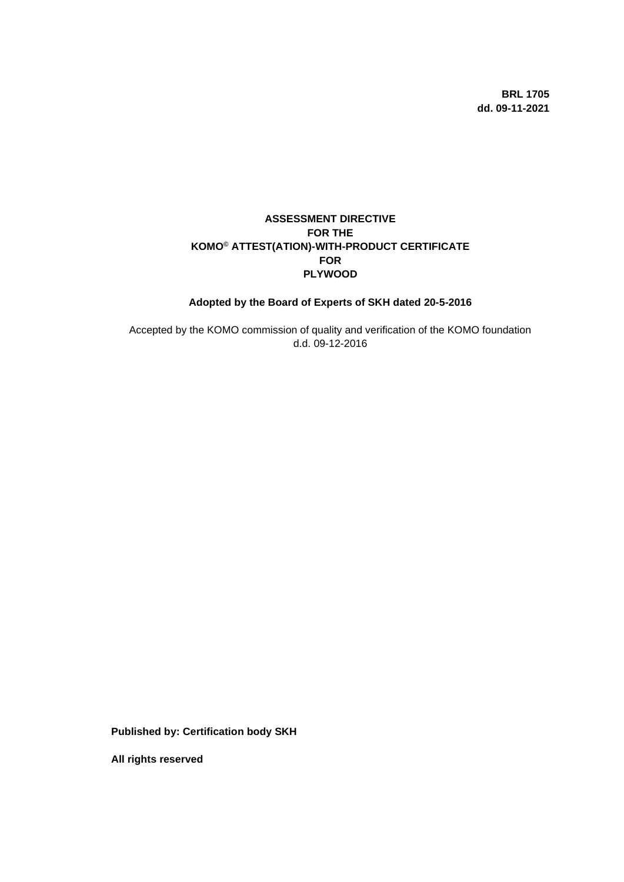**BRL 1705 dd. 09-11-2021**

# **ASSESSMENT DIRECTIVE FOR THE KOMO© ATTEST(ATION)-WITH-PRODUCT CERTIFICATE FOR PLYWOOD**

# **Adopted by the Board of Experts of SKH dated 20-5-2016**

Accepted by the KOMO commission of quality and verification of the KOMO foundation d.d. 09-12-2016

**Published by: Certification body SKH**

**All rights reserved**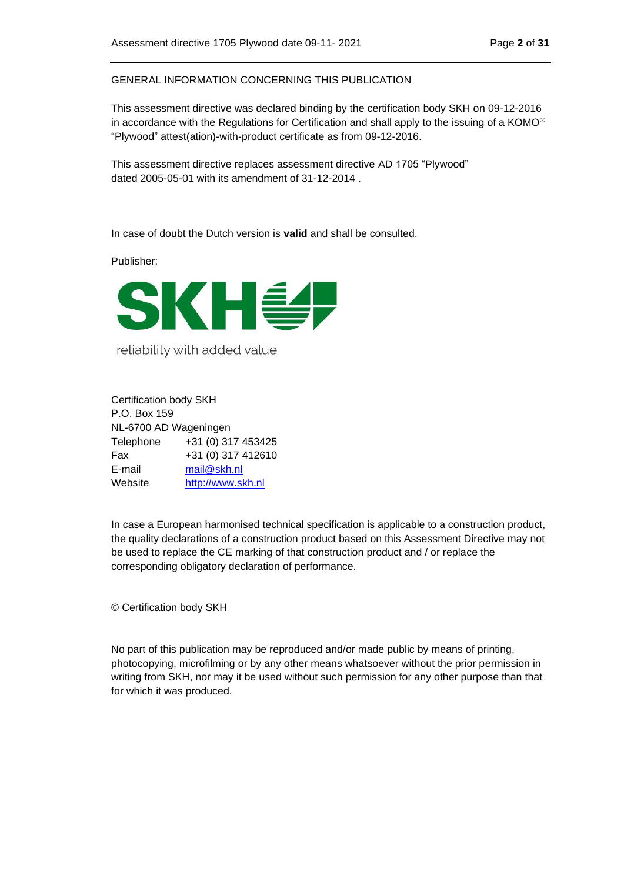GENERAL INFORMATION CONCERNING THIS PUBLICATION

This assessment directive was declared binding by the certification body SKH on 09-12-2016 in accordance with the Regulations for Certification and shall apply to the issuing of a KOMO<sup>®</sup> "Plywood" attest(ation)-with-product certificate as from 09-12-2016.

This assessment directive replaces assessment directive AD 1705 "Plywood" dated 2005-05-01 with its amendment of 31-12-2014 .

In case of doubt the Dutch version is **valid** and shall be consulted.

Publisher:



reliability with added value

Certification body SKH P.O. Box 159 NL-6700 AD Wageningen Telephone +31 (0) 317 453425 Fax +31 (0) 317 412610 E-mail [mail@skh.nl](mailto:mail@skh.nl) Website [http://www.skh.nl](http://www.skh.nl/)

In case a European harmonised technical specification is applicable to a construction product, the quality declarations of a construction product based on this Assessment Directive may not be used to replace the CE marking of that construction product and / or replace the corresponding obligatory declaration of performance.

© Certification body SKH

No part of this publication may be reproduced and/or made public by means of printing, photocopying, microfilming or by any other means whatsoever without the prior permission in writing from SKH, nor may it be used without such permission for any other purpose than that for which it was produced.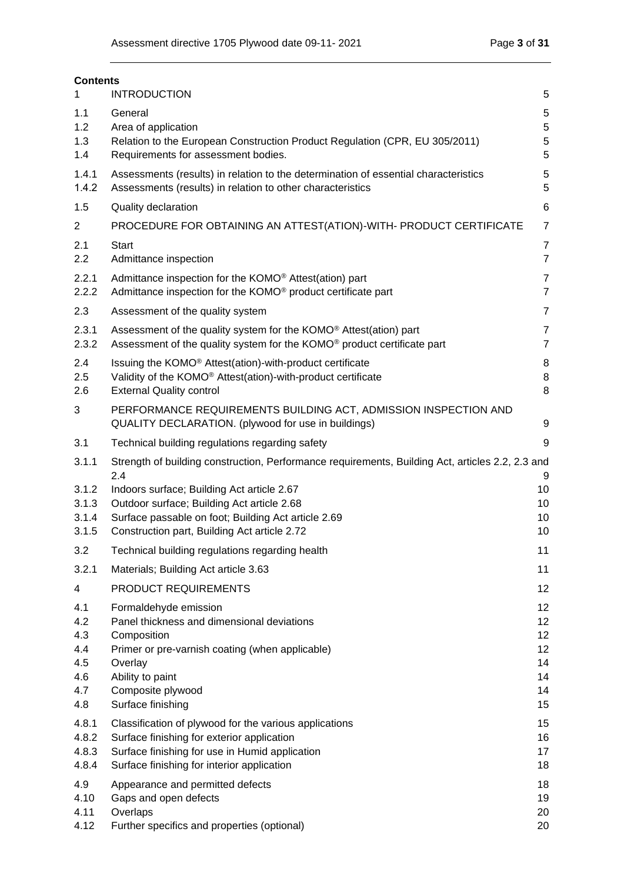| <b>Contents</b>                                      |                                                                                                                                                                                                                |                                              |
|------------------------------------------------------|----------------------------------------------------------------------------------------------------------------------------------------------------------------------------------------------------------------|----------------------------------------------|
|                                                      | <b>INTRODUCTION</b>                                                                                                                                                                                            | 5                                            |
| 1.1<br>1.2<br>1.3<br>1.4                             | General<br>Area of application<br>Relation to the European Construction Product Regulation (CPR, EU 305/2011)<br>Requirements for assessment bodies.                                                           | $\,$ 5 $\,$<br>5<br>5<br>5                   |
| 1.4.1<br>1.4.2                                       | Assessments (results) in relation to the determination of essential characteristics<br>Assessments (results) in relation to other characteristics                                                              | 5<br>5                                       |
| 1.5                                                  | Quality declaration                                                                                                                                                                                            | 6                                            |
| 2                                                    | PROCEDURE FOR OBTAINING AN ATTEST(ATION)-WITH- PRODUCT CERTIFICATE                                                                                                                                             | $\overline{7}$                               |
| 2.1<br>2.2                                           | <b>Start</b><br>Admittance inspection                                                                                                                                                                          | $\overline{7}$<br>$\overline{7}$             |
| 2.2.1<br>2.2.2                                       | Admittance inspection for the KOMO <sup>®</sup> Attest(ation) part<br>Admittance inspection for the KOMO <sup>®</sup> product certificate part                                                                 | $\overline{7}$<br>$\overline{7}$             |
| 2.3                                                  | Assessment of the quality system                                                                                                                                                                               | $\overline{7}$                               |
| 2.3.1<br>2.3.2                                       | Assessment of the quality system for the KOMO <sup>®</sup> Attest(ation) part<br>Assessment of the quality system for the KOMO® product certificate part                                                       | 7<br>$\overline{7}$                          |
| 2.4<br>2.5<br>2.6                                    | Issuing the KOMO <sup>®</sup> Attest(ation)-with-product certificate<br>Validity of the KOMO <sup>®</sup> Attest(ation)-with-product certificate<br><b>External Quality control</b>                            | 8<br>8<br>8                                  |
| 3                                                    | PERFORMANCE REQUIREMENTS BUILDING ACT, ADMISSION INSPECTION AND<br>QUALITY DECLARATION. (plywood for use in buildings)                                                                                         | 9                                            |
| 3.1                                                  | Technical building regulations regarding safety                                                                                                                                                                | 9                                            |
| 3.1.1                                                | Strength of building construction, Performance requirements, Building Act, articles 2.2, 2.3 and                                                                                                               |                                              |
| 3.1.2<br>3.1.3<br>3.1.4<br>3.1.5                     | 2.4<br>Indoors surface; Building Act article 2.67<br>Outdoor surface; Building Act article 2.68<br>Surface passable on foot; Building Act article 2.69<br>Construction part, Building Act article 2.72         | 9<br>10<br>10<br>10<br>10                    |
| 3.2                                                  | Technical building regulations regarding health                                                                                                                                                                | 11                                           |
| 3.2.1                                                | Materials; Building Act article 3.63                                                                                                                                                                           | 11                                           |
| 4                                                    | PRODUCT REQUIREMENTS                                                                                                                                                                                           | 12                                           |
| 4.1<br>4.2<br>4.3<br>4.4<br>4.5<br>4.6<br>4.7<br>4.8 | Formaldehyde emission<br>Panel thickness and dimensional deviations<br>Composition<br>Primer or pre-varnish coating (when applicable)<br>Overlay<br>Ability to paint<br>Composite plywood<br>Surface finishing | 12<br>12<br>12<br>12<br>14<br>14<br>14<br>15 |
| 4.8.1<br>4.8.2<br>4.8.3<br>4.8.4                     | Classification of plywood for the various applications<br>Surface finishing for exterior application<br>Surface finishing for use in Humid application<br>Surface finishing for interior application           | 15<br>16<br>17<br>18                         |
| 4.9<br>4.10<br>4.11<br>4.12                          | Appearance and permitted defects<br>Gaps and open defects<br>Overlaps<br>Further specifics and properties (optional)                                                                                           | 18<br>19<br>20<br>20                         |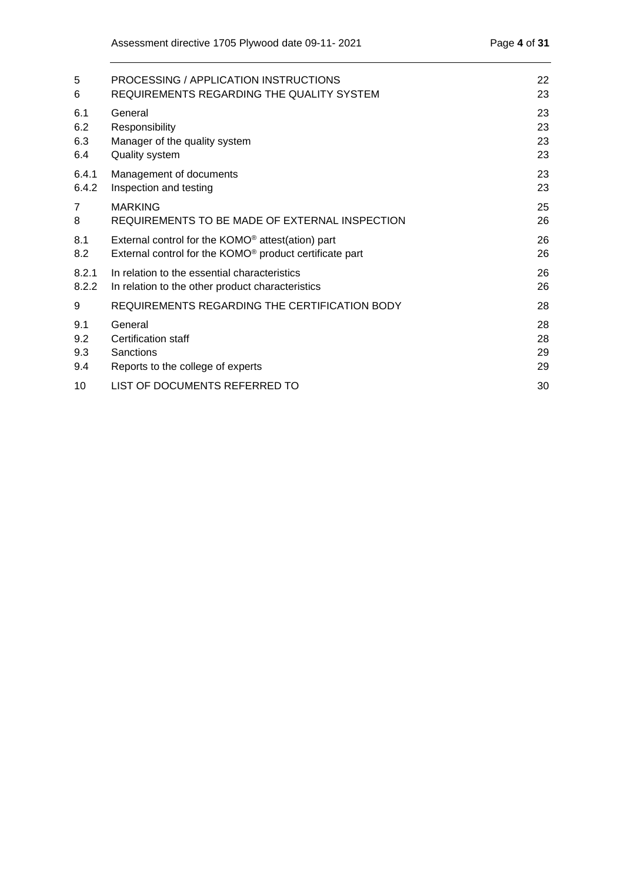| 5     | PROCESSING / APPLICATION INSTRUCTIONS                               | 22 |
|-------|---------------------------------------------------------------------|----|
| 6     | REQUIREMENTS REGARDING THE QUALITY SYSTEM                           | 23 |
| 6.1   | General                                                             | 23 |
| 6.2   | Responsibility                                                      | 23 |
| 6.3   | Manager of the quality system                                       | 23 |
| 6.4   | Quality system                                                      | 23 |
| 6.4.1 | Management of documents                                             | 23 |
| 6.4.2 | Inspection and testing                                              | 23 |
| 7     | <b>MARKING</b>                                                      | 25 |
| 8     | REQUIREMENTS TO BE MADE OF EXTERNAL INSPECTION                      | 26 |
| 8.1   | External control for the KOMO <sup>®</sup> attest(ation) part       | 26 |
| 8.2   | External control for the KOMO <sup>®</sup> product certificate part | 26 |
| 8.2.1 | In relation to the essential characteristics                        | 26 |
| 8.2.2 | In relation to the other product characteristics                    | 26 |
| 9     | REQUIREMENTS REGARDING THE CERTIFICATION BODY                       | 28 |
| 9.1   | General                                                             | 28 |
| 9.2   | Certification staff                                                 | 28 |
| 9.3   | Sanctions                                                           | 29 |
| 9.4   | Reports to the college of experts                                   | 29 |
| 10    | LIST OF DOCUMENTS REFERRED TO                                       | 30 |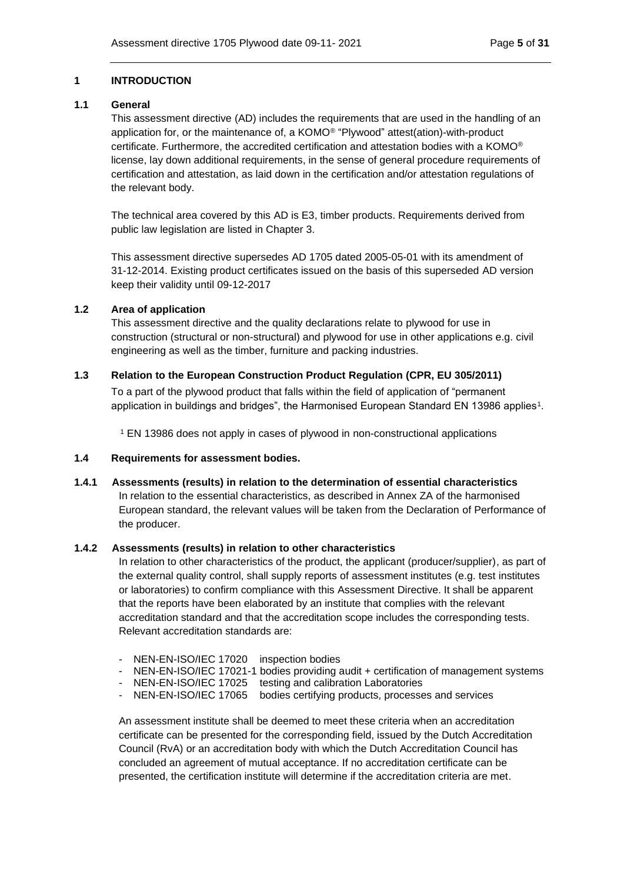### <span id="page-4-0"></span>**1 INTRODUCTION**

## <span id="page-4-1"></span>**1.1 General**

This assessment directive (AD) includes the requirements that are used in the handling of an application for, or the maintenance of, a KOMO® "Plywood" attest(ation)-with-product certificate. Furthermore, the accredited certification and attestation bodies with a KOMO® license, lay down additional requirements, in the sense of general procedure requirements of certification and attestation, as laid down in the certification and/or attestation regulations of the relevant body.

The technical area covered by this AD is E3, timber products. Requirements derived from public law legislation are listed in Chapter 3.

This assessment directive supersedes AD 1705 dated 2005-05-01 with its amendment of 31-12-2014. Existing product certificates issued on the basis of this superseded AD version keep their validity until 09-12-2017

### <span id="page-4-2"></span>**1.2 Area of application**

This assessment directive and the quality declarations relate to plywood for use in construction (structural or non-structural) and plywood for use in other applications e.g. civil engineering as well as the timber, furniture and packing industries.

## <span id="page-4-3"></span>**1.3 Relation to the European Construction Product Regulation (CPR, EU 305/2011)**

To a part of the plywood product that falls within the field of application of "permanent application in buildings and bridges", the Harmonised European Standard EN 13986 applies<sup>1</sup>.

<sup>1</sup> EN 13986 does not apply in cases of plywood in non-constructional applications

### <span id="page-4-4"></span>**1.4 Requirements for assessment bodies.**

<span id="page-4-5"></span>**1.4.1 Assessments (results) in relation to the determination of essential characteristics** In relation to the essential characteristics, as described in Annex ZA of the harmonised European standard, the relevant values will be taken from the Declaration of Performance of the producer.

#### <span id="page-4-6"></span>**1.4.2 Assessments (results) in relation to other characteristics**

In relation to other characteristics of the product, the applicant (producer/supplier), as part of the external quality control, shall supply reports of assessment institutes (e.g. test institutes or laboratories) to confirm compliance with this Assessment Directive. It shall be apparent that the reports have been elaborated by an institute that complies with the relevant accreditation standard and that the accreditation scope includes the corresponding tests. Relevant accreditation standards are:

- NEN-EN-ISO/IEC 17020 inspection bodies
- NEN-EN-ISO/IEC 17021-1 bodies providing audit + certification of management systems
- NEN-EN-ISO/IEC 17025 testing and calibration Laboratories
- NEN-EN-ISO/IEC 17065 bodies certifying products, processes and services

An assessment institute shall be deemed to meet these criteria when an accreditation certificate can be presented for the corresponding field, issued by the Dutch Accreditation Council (RvA) or an accreditation body with which the Dutch Accreditation Council has concluded an agreement of mutual acceptance. If no accreditation certificate can be presented, the certification institute will determine if the accreditation criteria are met.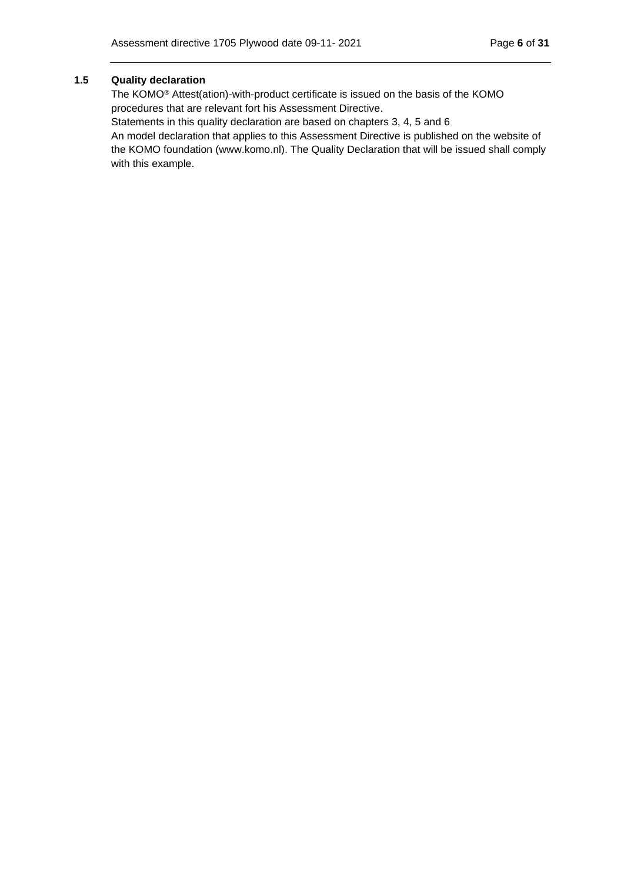## <span id="page-5-0"></span>**1.5 Quality declaration**

The KOMO® Attest(ation)-with-product certificate is issued on the basis of the KOMO procedures that are relevant fort his Assessment Directive.

Statements in this quality declaration are based on chapters 3, 4, 5 and 6

An model declaration that applies to this Assessment Directive is published on the website of the KOMO foundation (www.komo.nl). The Quality Declaration that will be issued shall comply with this example.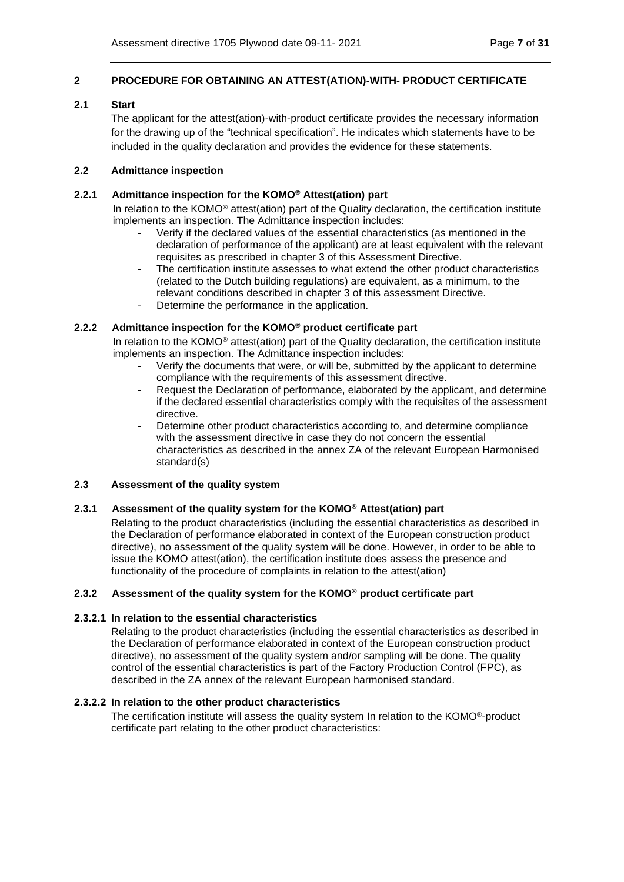### <span id="page-6-0"></span>**2 PROCEDURE FOR OBTAINING AN ATTEST(ATION)-WITH- PRODUCT CERTIFICATE**

## <span id="page-6-1"></span>**2.1 Start**

The applicant for the attest(ation)-with-product certificate provides the necessary information for the drawing up of the "technical specification". He indicates which statements have to be included in the quality declaration and provides the evidence for these statements.

### <span id="page-6-2"></span>**2.2 Admittance inspection**

### <span id="page-6-3"></span>**2.2.1 Admittance inspection for the KOMO® Attest(ation) part**

In relation to the KOMO® attest(ation) part of the Quality declaration, the certification institute implements an inspection. The Admittance inspection includes:

- Verify if the declared values of the essential characteristics (as mentioned in the declaration of performance of the applicant) are at least equivalent with the relevant requisites as prescribed in chapter 3 of this Assessment Directive.
- The certification institute assesses to what extend the other product characteristics (related to the Dutch building regulations) are equivalent, as a minimum, to the relevant conditions described in chapter 3 of this assessment Directive.
- Determine the performance in the application.

## <span id="page-6-4"></span>**2.2.2 Admittance inspection for the KOMO® product certificate part**

In relation to the KOMO® attest(ation) part of the Quality declaration, the certification institute implements an inspection. The Admittance inspection includes:

- Verify the documents that were, or will be, submitted by the applicant to determine compliance with the requirements of this assessment directive.
- Request the Declaration of performance, elaborated by the applicant, and determine if the declared essential characteristics comply with the requisites of the assessment directive.
- Determine other product characteristics according to, and determine compliance with the assessment directive in case they do not concern the essential characteristics as described in the annex ZA of the relevant European Harmonised standard(s)

#### <span id="page-6-5"></span>**2.3 Assessment of the quality system**

### <span id="page-6-6"></span>**2.3.1 Assessment of the quality system for the KOMO® Attest(ation) part**

Relating to the product characteristics (including the essential characteristics as described in the Declaration of performance elaborated in context of the European construction product directive), no assessment of the quality system will be done. However, in order to be able to issue the KOMO attest(ation), the certification institute does assess the presence and functionality of the procedure of complaints in relation to the attest(ation)

#### <span id="page-6-7"></span>**2.3.2 Assessment of the quality system for the KOMO® product certificate part**

#### **2.3.2.1 In relation to the essential characteristics**

Relating to the product characteristics (including the essential characteristics as described in the Declaration of performance elaborated in context of the European construction product directive), no assessment of the quality system and/or sampling will be done. The quality control of the essential characteristics is part of the Factory Production Control (FPC), as described in the ZA annex of the relevant European harmonised standard.

#### **2.3.2.2 In relation to the other product characteristics**

The certification institute will assess the quality system In relation to the KOMO®-product certificate part relating to the other product characteristics: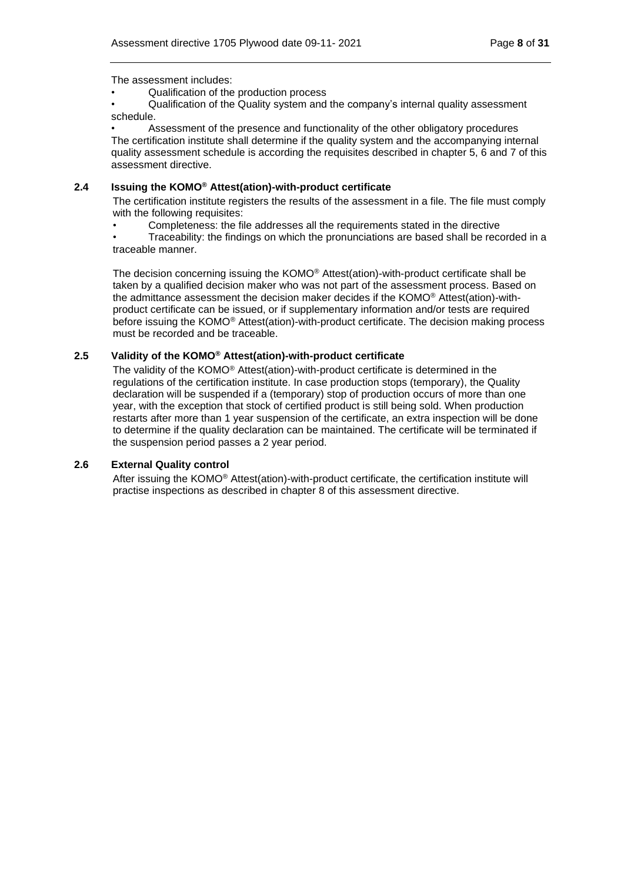The assessment includes:

• Qualification of the production process

• Qualification of the Quality system and the company's internal quality assessment schedule.

Assessment of the presence and functionality of the other obligatory procedures The certification institute shall determine if the quality system and the accompanying internal quality assessment schedule is according the requisites described in chapter 5, 6 and 7 of this assessment directive.

#### <span id="page-7-0"></span>**2.4 Issuing the KOMO® Attest(ation)-with-product certificate**

The certification institute registers the results of the assessment in a file. The file must comply with the following requisites:

• Completeness: the file addresses all the requirements stated in the directive

• Traceability: the findings on which the pronunciations are based shall be recorded in a traceable manner.

The decision concerning issuing the KOMO® Attest(ation)-with-product certificate shall be taken by a qualified decision maker who was not part of the assessment process. Based on the admittance assessment the decision maker decides if the KOMO® Attest(ation)-withproduct certificate can be issued, or if supplementary information and/or tests are required before issuing the KOMO® Attest(ation)-with-product certificate. The decision making process must be recorded and be traceable.

### <span id="page-7-1"></span>**2.5 Validity of the KOMO® Attest(ation)-with-product certificate**

The validity of the KOMO® Attest(ation)-with-product certificate is determined in the regulations of the certification institute. In case production stops (temporary), the Quality declaration will be suspended if a (temporary) stop of production occurs of more than one year, with the exception that stock of certified product is still being sold. When production restarts after more than 1 year suspension of the certificate, an extra inspection will be done to determine if the quality declaration can be maintained. The certificate will be terminated if the suspension period passes a 2 year period.

### <span id="page-7-2"></span>**2.6 External Quality control**

After issuing the KOMO® Attest(ation)-with-product certificate, the certification institute will practise inspections as described in chapter 8 of this assessment directive.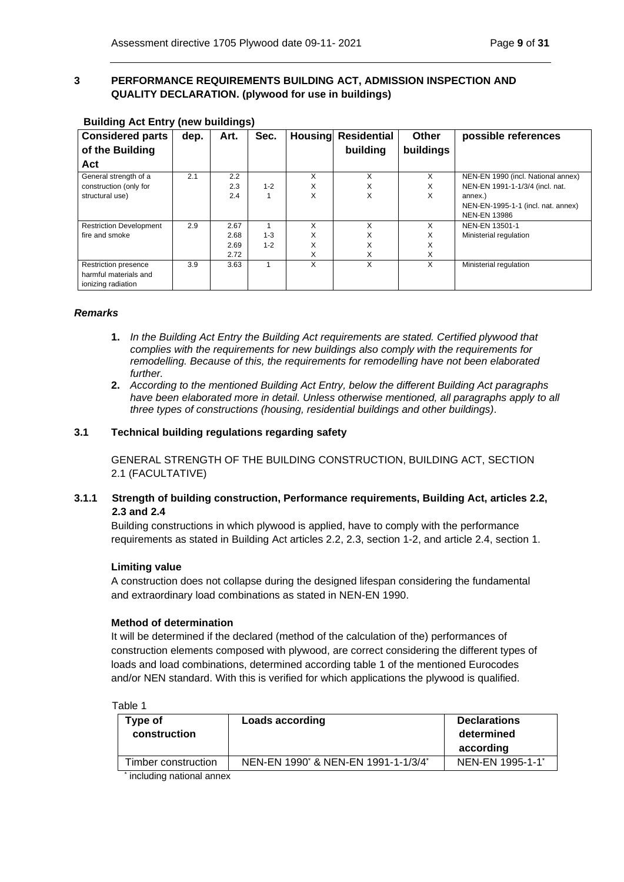# <span id="page-8-0"></span>**3 PERFORMANCE REQUIREMENTS BUILDING ACT, ADMISSION INSPECTION AND QUALITY DECLARATION. (plywood for use in buildings)**

| <b>Considered parts</b>        | dep. | Art. | Sec.    | <b>Housing</b> | <b>Residential</b> | <b>Other</b> | possible references                |
|--------------------------------|------|------|---------|----------------|--------------------|--------------|------------------------------------|
| of the Building                |      |      |         |                | building           | buildings    |                                    |
| Act                            |      |      |         |                |                    |              |                                    |
| General strength of a          | 2.1  | 2.2  |         | X              | X                  | X            | NEN-EN 1990 (incl. National annex) |
| construction (only for         |      | 2.3  | $1 - 2$ | X              | X                  | X            | NEN-EN 1991-1-1/3/4 (incl. nat.    |
| structural use)                |      | 2.4  |         | X              | X                  | X            | annex.)                            |
|                                |      |      |         |                |                    |              | NEN-EN-1995-1-1 (incl. nat. annex) |
|                                |      |      |         |                |                    |              | <b>NEN-EN 13986</b>                |
| <b>Restriction Development</b> | 2.9  | 2.67 |         | X              | x                  | x            | NEN-EN 13501-1                     |
| fire and smoke                 |      | 2.68 | $1 - 3$ | X              | X                  | X            | Ministerial regulation             |
|                                |      | 2.69 | $1 - 2$ | X              | X                  | X            |                                    |
|                                |      | 2.72 |         | X              | X                  | X            |                                    |
| Restriction presence           | 3.9  | 3.63 |         | X              | X                  | X            | Ministerial regulation             |
| harmful materials and          |      |      |         |                |                    |              |                                    |
| ionizing radiation             |      |      |         |                |                    |              |                                    |

## **Building Act Entry (new buildings)**

### *Remarks*

- **1.** *In the Building Act Entry the Building Act requirements are stated. Certified plywood that complies with the requirements for new buildings also comply with the requirements for remodelling. Because of this, the requirements for remodelling have not been elaborated further.*
- **2.** *According to the mentioned Building Act Entry, below the different Building Act paragraphs*  have been elaborated more in detail. Unless otherwise mentioned, all paragraphs apply to all *three types of constructions (housing, residential buildings and other buildings).*

### <span id="page-8-1"></span>**3.1 Technical building regulations regarding safety**

GENERAL STRENGTH OF THE BUILDING CONSTRUCTION, BUILDING ACT, SECTION 2.1 (FACULTATIVE)

## <span id="page-8-2"></span>**3.1.1 Strength of building construction, Performance requirements, Building Act, articles 2.2, 2.3 and 2.4**

Building constructions in which plywood is applied, have to comply with the performance requirements as stated in Building Act articles 2.2, 2.3, section 1-2, and article 2.4, section 1.

#### **Limiting value**

A construction does not collapse during the designed lifespan considering the fundamental and extraordinary load combinations as stated in NEN-EN 1990.

#### **Method of determination**

It will be determined if the declared (method of the calculation of the) performances of construction elements composed with plywood, are correct considering the different types of loads and load combinations, determined according table 1 of the mentioned Eurocodes and/or NEN standard. With this is verified for which applications the plywood is qualified.

Table 1

| Type of<br>construction | <b>Loads according</b>                                      | <b>Declarations</b><br>determined<br>according |
|-------------------------|-------------------------------------------------------------|------------------------------------------------|
| Timber construction     | NEN-EN 1990 <sup>*</sup> & NEN-EN 1991-1-1/3/4 <sup>*</sup> | NEN-EN 1995-1-1*                               |

\* including national annex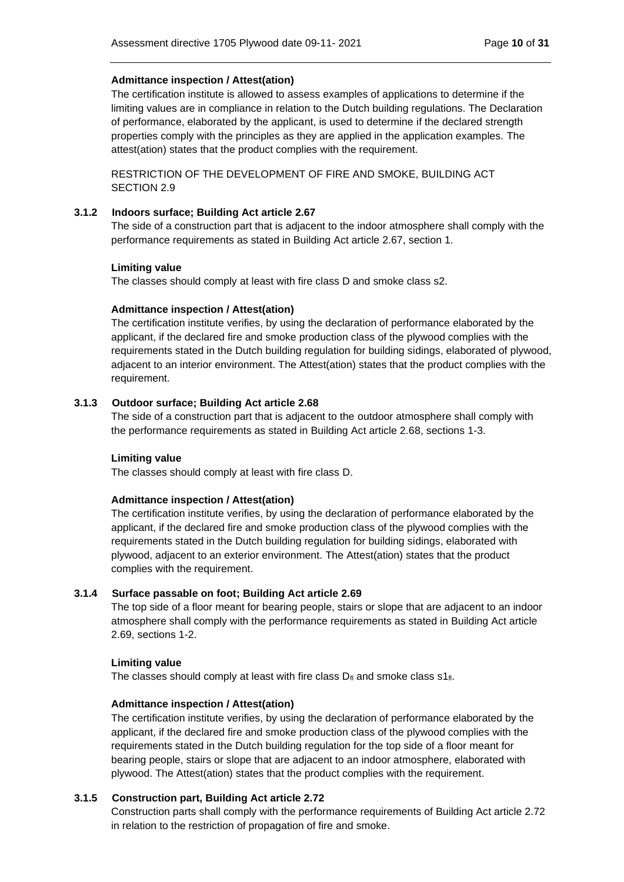## **Admittance inspection / Attest(ation)**

The certification institute is allowed to assess examples of applications to determine if the limiting values are in compliance in relation to the Dutch building regulations. The Declaration of performance, elaborated by the applicant, is used to determine if the declared strength properties comply with the principles as they are applied in the application examples. The attest(ation) states that the product complies with the requirement.

RESTRICTION OF THE DEVELOPMENT OF FIRE AND SMOKE, BUILDING ACT SECTION 2.9

### <span id="page-9-0"></span>**3.1.2 Indoors surface; Building Act article 2.67**

The side of a construction part that is adjacent to the indoor atmosphere shall comply with the performance requirements as stated in Building Act article 2.67, section 1.

### **Limiting value**

The classes should comply at least with fire class D and smoke class s2.

### **Admittance inspection / Attest(ation)**

The certification institute verifies, by using the declaration of performance elaborated by the applicant, if the declared fire and smoke production class of the plywood complies with the requirements stated in the Dutch building regulation for building sidings, elaborated of plywood, adjacent to an interior environment. The Attest(ation) states that the product complies with the requirement.

### <span id="page-9-1"></span>**3.1.3 Outdoor surface; Building Act article 2.68**

The side of a construction part that is adjacent to the outdoor atmosphere shall comply with the performance requirements as stated in Building Act article 2.68, sections 1-3.

#### **Limiting value**

The classes should comply at least with fire class D.

#### **Admittance inspection / Attest(ation)**

The certification institute verifies, by using the declaration of performance elaborated by the applicant, if the declared fire and smoke production class of the plywood complies with the requirements stated in the Dutch building regulation for building sidings, elaborated with plywood, adjacent to an exterior environment. The Attest(ation) states that the product complies with the requirement.

#### <span id="page-9-2"></span>**3.1.4 Surface passable on foot; Building Act article 2.69**

The top side of a floor meant for bearing people, stairs or slope that are adjacent to an indoor atmosphere shall comply with the performance requirements as stated in Building Act article 2.69, sections 1-2.

#### **Limiting value**

The classes should comply at least with fire class  $D_{fl}$  and smoke class  $S1_{fl}$ .

#### **Admittance inspection / Attest(ation)**

The certification institute verifies, by using the declaration of performance elaborated by the applicant, if the declared fire and smoke production class of the plywood complies with the requirements stated in the Dutch building regulation for the top side of a floor meant for bearing people, stairs or slope that are adjacent to an indoor atmosphere, elaborated with plywood. The Attest(ation) states that the product complies with the requirement.

## <span id="page-9-3"></span>**3.1.5 Construction part, Building Act article 2.72**

Construction parts shall comply with the performance requirements of Building Act article 2.72 in relation to the restriction of propagation of fire and smoke.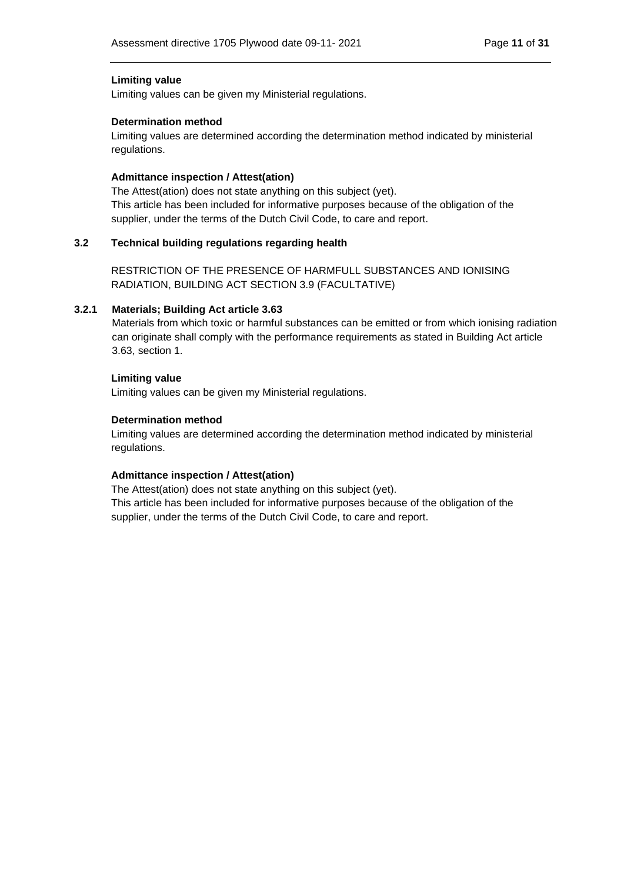### **Limiting value**

Limiting values can be given my Ministerial regulations.

#### **Determination method**

Limiting values are determined according the determination method indicated by ministerial regulations.

### **Admittance inspection / Attest(ation)**

The Attest(ation) does not state anything on this subject (yet). This article has been included for informative purposes because of the obligation of the supplier, under the terms of the Dutch Civil Code, to care and report.

## <span id="page-10-0"></span>**3.2 Technical building regulations regarding health**

RESTRICTION OF THE PRESENCE OF HARMFULL SUBSTANCES AND IONISING RADIATION, BUILDING ACT SECTION 3.9 (FACULTATIVE)

### <span id="page-10-1"></span>**3.2.1 Materials; Building Act article 3.63**

Materials from which toxic or harmful substances can be emitted or from which ionising radiation can originate shall comply with the performance requirements as stated in Building Act article 3.63, section 1.

### **Limiting value**

Limiting values can be given my Ministerial regulations.

### **Determination method**

Limiting values are determined according the determination method indicated by ministerial regulations.

#### **Admittance inspection / Attest(ation)**

The Attest(ation) does not state anything on this subject (yet). This article has been included for informative purposes because of the obligation of the supplier, under the terms of the Dutch Civil Code, to care and report.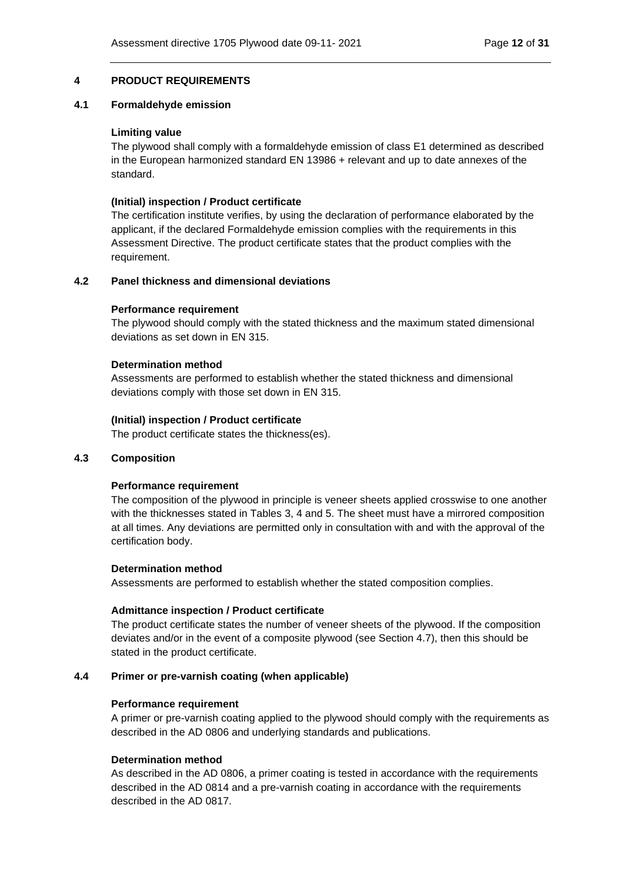### <span id="page-11-0"></span>**4 PRODUCT REQUIREMENTS**

#### <span id="page-11-1"></span>**4.1 Formaldehyde emission**

#### **Limiting value**

The plywood shall comply with a formaldehyde emission of class E1 determined as described in the European harmonized standard EN 13986 + relevant and up to date annexes of the standard.

#### **(Initial) inspection / Product certificate**

The certification institute verifies, by using the declaration of performance elaborated by the applicant, if the declared Formaldehyde emission complies with the requirements in this Assessment Directive. The product certificate states that the product complies with the requirement.

### <span id="page-11-2"></span>**4.2 Panel thickness and dimensional deviations**

#### **Performance requirement**

The plywood should comply with the stated thickness and the maximum stated dimensional deviations as set down in EN 315.

#### **Determination method**

Assessments are performed to establish whether the stated thickness and dimensional deviations comply with those set down in EN 315.

#### **(Initial) inspection / Product certificate**

The product certificate states the thickness(es).

#### <span id="page-11-3"></span>**4.3 Composition**

#### **Performance requirement**

The composition of the plywood in principle is veneer sheets applied crosswise to one another with the thicknesses stated in Tables 3, 4 and 5. The sheet must have a mirrored composition at all times. Any deviations are permitted only in consultation with and with the approval of the certification body.

#### **Determination method**

Assessments are performed to establish whether the stated composition complies.

#### **Admittance inspection / Product certificate**

The product certificate states the number of veneer sheets of the plywood. If the composition deviates and/or in the event of a composite plywood (see Section [4.7\)](#page-13-2), then this should be stated in the product certificate.

#### <span id="page-11-4"></span>**4.4 Primer or pre-varnish coating (when applicable)**

#### **Performance requirement**

A primer or pre-varnish coating applied to the plywood should comply with the requirements as described in the AD 0806 and underlying standards and publications.

#### **Determination method**

As described in the AD 0806, a primer coating is tested in accordance with the requirements described in the AD 0814 and a pre-varnish coating in accordance with the requirements described in the AD 0817.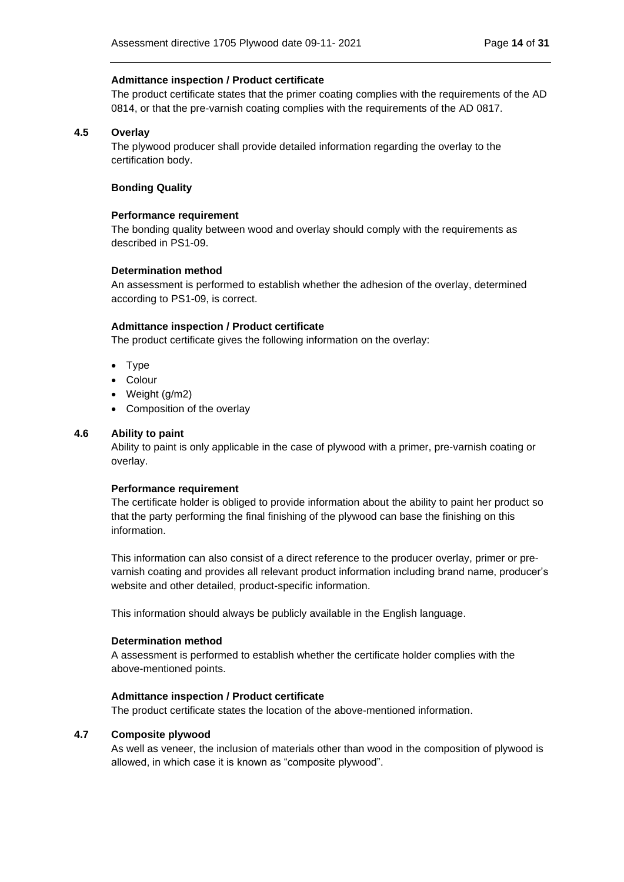#### **Admittance inspection / Product certificate**

The product certificate states that the primer coating complies with the requirements of the AD 0814, or that the pre-varnish coating complies with the requirements of the AD 0817.

#### <span id="page-13-0"></span>**4.5 Overlay**

The plywood producer shall provide detailed information regarding the overlay to the certification body.

#### **Bonding Quality**

#### **Performance requirement**

The bonding quality between wood and overlay should comply with the requirements as described in PS1-09.

### **Determination method**

An assessment is performed to establish whether the adhesion of the overlay, determined according to PS1-09, is correct.

### **Admittance inspection / Product certificate**

The product certificate gives the following information on the overlay:

- Type
- Colour
- Weight (g/m2)
- Composition of the overlay

### <span id="page-13-1"></span>**4.6 Ability to paint**

Ability to paint is only applicable in the case of plywood with a primer, pre-varnish coating or overlay.

#### **Performance requirement**

The certificate holder is obliged to provide information about the ability to paint her product so that the party performing the final finishing of the plywood can base the finishing on this information.

This information can also consist of a direct reference to the producer overlay, primer or prevarnish coating and provides all relevant product information including brand name, producer's website and other detailed, product-specific information.

This information should always be publicly available in the English language.

#### **Determination method**

A assessment is performed to establish whether the certificate holder complies with the above-mentioned points.

#### **Admittance inspection / Product certificate**

The product certificate states the location of the above-mentioned information.

#### <span id="page-13-2"></span>**4.7 Composite plywood**

As well as veneer, the inclusion of materials other than wood in the composition of plywood is allowed, in which case it is known as "composite plywood".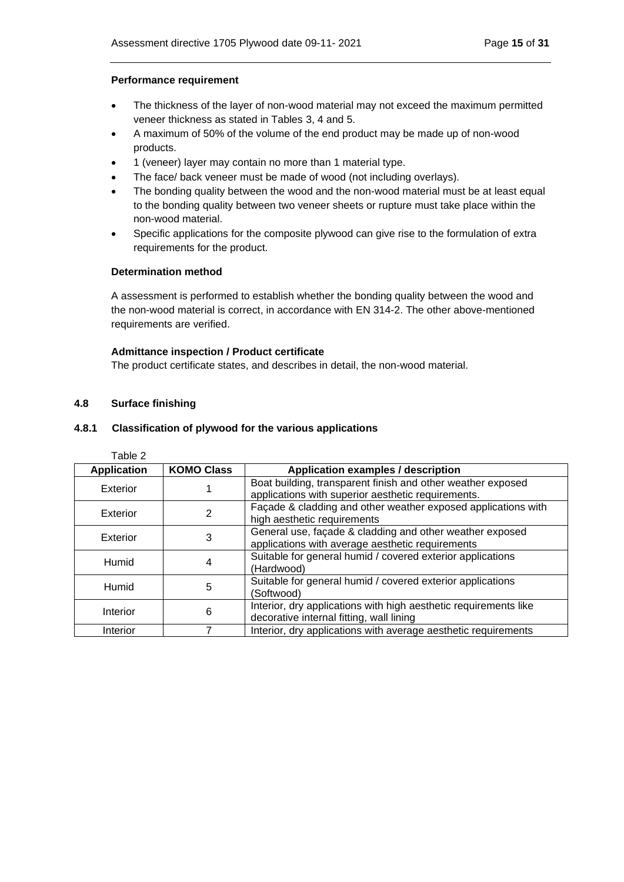### **Performance requirement**

- The thickness of the layer of non-wood material may not exceed the maximum permitted veneer thickness as stated in Tables 3, 4 and 5.
- A maximum of 50% of the volume of the end product may be made up of non-wood products.
- 1 (veneer) layer may contain no more than 1 material type.
- The face/ back veneer must be made of wood (not including overlays).
- The bonding quality between the wood and the non-wood material must be at least equal to the bonding quality between two veneer sheets or rupture must take place within the non-wood material.
- Specific applications for the composite plywood can give rise to the formulation of extra requirements for the product.

### **Determination method**

A assessment is performed to establish whether the bonding quality between the wood and the non-wood material is correct, in accordance with EN 314-2. The other above-mentioned requirements are verified.

### **Admittance inspection / Product certificate**

The product certificate states, and describes in detail, the non-wood material.

### <span id="page-14-0"></span>**4.8 Surface finishing**

### <span id="page-14-1"></span>**4.8.1 Classification of plywood for the various applications**

| Table 2            |                   |                                                                                                                   |
|--------------------|-------------------|-------------------------------------------------------------------------------------------------------------------|
| <b>Application</b> | <b>KOMO Class</b> | Application examples / description                                                                                |
| Exterior           |                   | Boat building, transparent finish and other weather exposed<br>applications with superior aesthetic requirements. |
| Exterior           | 2                 | Façade & cladding and other weather exposed applications with<br>high aesthetic requirements                      |
| Exterior           | 3                 | General use, façade & cladding and other weather exposed<br>applications with average aesthetic requirements      |
| Humid              | 4                 | Suitable for general humid / covered exterior applications<br>(Hardwood)                                          |
| Humid              | 5                 | Suitable for general humid / covered exterior applications<br>(Softwood)                                          |
| Interior           | 6                 | Interior, dry applications with high aesthetic requirements like<br>decorative internal fitting, wall lining      |
| Interior           |                   | Interior, dry applications with average aesthetic requirements                                                    |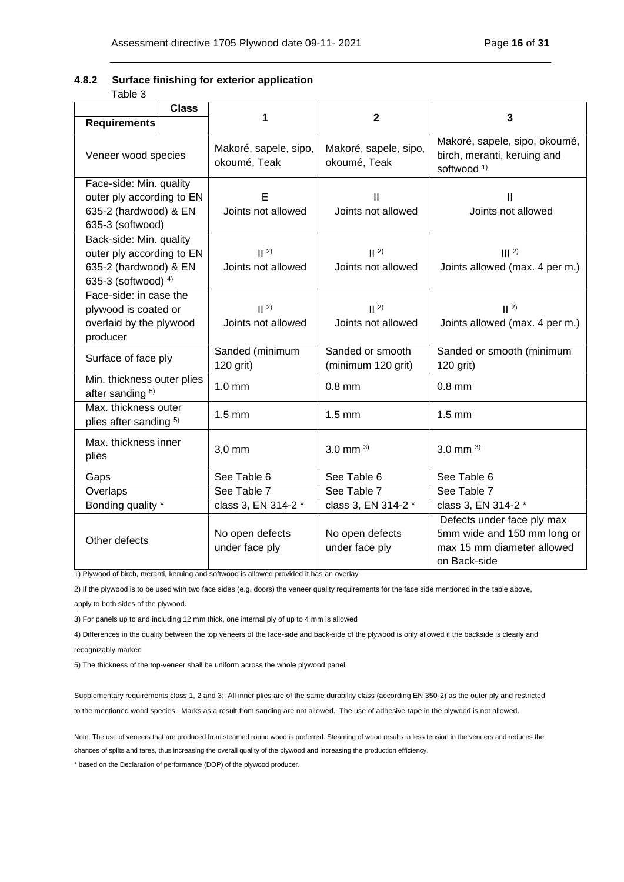# <span id="page-15-0"></span>**4.8.2 Surface finishing for exterior application**

| able |  |
|------|--|
|------|--|

|                                                                                                      | <b>Class</b> | 1                                     |                                                                            | 3                                                                                                       |  |  |
|------------------------------------------------------------------------------------------------------|--------------|---------------------------------------|----------------------------------------------------------------------------|---------------------------------------------------------------------------------------------------------|--|--|
| <b>Requirements</b>                                                                                  |              |                                       | $\mathbf{2}$                                                               |                                                                                                         |  |  |
| Veneer wood species                                                                                  |              | Makoré, sapele, sipo,<br>okoumé, Teak | Makoré, sapele, sipo,<br>okoumé, Teak                                      | Makoré, sapele, sipo, okoumé,<br>birch, meranti, keruing and<br>softwood <sup>1)</sup>                  |  |  |
| Face-side: Min. quality<br>outer ply according to EN<br>635-2 (hardwood) & EN<br>635-3 (softwood)    |              | Е<br>Joints not allowed               | Ш<br>Joints not allowed                                                    | $\mathbf{H}$<br>Joints not allowed                                                                      |  |  |
| Back-side: Min. quality<br>outer ply according to EN<br>635-2 (hardwood) & EN<br>635-3 (softwood) 4) |              | 2<br>Joints not allowed               | 2<br>$   2\rangle$<br>Joints allowed (max. 4 per m.)<br>Joints not allowed |                                                                                                         |  |  |
| Face-side: in case the<br>plywood is coated or<br>overlaid by the plywood<br>producer                |              | 2<br>Joints not allowed               | 2<br>Joints not allowed                                                    | 2<br>Joints allowed (max. 4 per m.)                                                                     |  |  |
| Surface of face ply                                                                                  |              | Sanded (minimum<br>120 grit)          | Sanded or smooth<br>(minimum 120 grit)                                     | Sanded or smooth (minimum<br>120 grit)                                                                  |  |  |
| Min. thickness outer plies<br>after sanding 5)                                                       |              | $1.0 \text{ mm}$                      | $0.8$ mm                                                                   | $0.8$ mm                                                                                                |  |  |
| Max. thickness outer<br>plies after sanding 5)                                                       |              | $1.5 \text{ mm}$                      | $1.5$ mm                                                                   | $1.5$ mm                                                                                                |  |  |
| Max. thickness inner<br>plies                                                                        |              | $3,0$ mm                              | 3.0 mm $^{3)}$                                                             | 3.0 mm $^{3)}$                                                                                          |  |  |
| Gaps                                                                                                 |              | See Table 6                           | See Table 6                                                                | See Table 6                                                                                             |  |  |
| Overlaps                                                                                             |              | See Table 7                           | See Table 7                                                                | See Table 7                                                                                             |  |  |
| Bonding quality *                                                                                    |              | class 3, EN 314-2 *                   | class 3, EN 314-2 *                                                        | class 3, EN 314-2 *                                                                                     |  |  |
| Other defects                                                                                        |              | No open defects<br>under face ply     | No open defects<br>under face ply                                          | Defects under face ply max<br>5mm wide and 150 mm long or<br>max 15 mm diameter allowed<br>on Back-side |  |  |

1) Plywood of birch, meranti, keruing and softwood is allowed provided it has an overlay

2) If the plywood is to be used with two face sides (e.g. doors) the veneer quality requirements for the face side mentioned in the table above,

apply to both sides of the plywood.

3) For panels up to and including 12 mm thick, one internal ply of up to 4 mm is allowed

4) Differences in the quality between the top veneers of the face-side and back-side of the plywood is only allowed if the backside is clearly and recognizably marked

5) The thickness of the top-veneer shall be uniform across the whole plywood panel.

Supplementary requirements class 1, 2 and 3: All inner plies are of the same durability class (according EN 350-2) as the outer ply and restricted to the mentioned wood species. Marks as a result from sanding are not allowed. The use of adhesive tape in the plywood is not allowed.

Note: The use of veneers that are produced from steamed round wood is preferred. Steaming of wood results in less tension in the veneers and reduces the chances of splits and tares, thus increasing the overall quality of the plywood and increasing the production efficiency.

\* based on the Declaration of performance (DOP) of the plywood producer.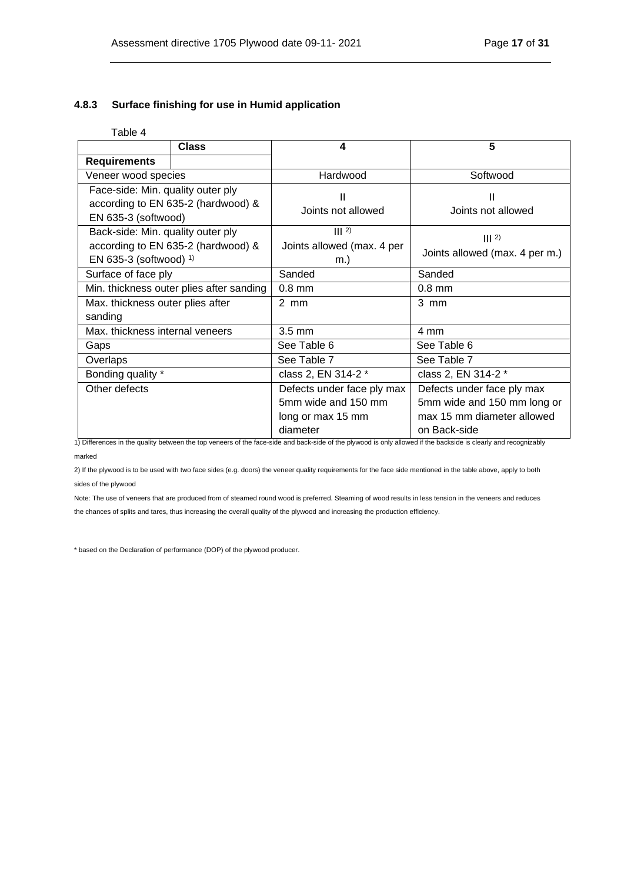### <span id="page-16-0"></span>**4.8.3 Surface finishing for use in Humid application**

## Table 4

| <b>Class</b>                                                                                         |  | 4                                                                                  | 5                                                                                                       |  |
|------------------------------------------------------------------------------------------------------|--|------------------------------------------------------------------------------------|---------------------------------------------------------------------------------------------------------|--|
| <b>Requirements</b>                                                                                  |  |                                                                                    |                                                                                                         |  |
| Veneer wood species                                                                                  |  | Hardwood                                                                           | Softwood                                                                                                |  |
| Face-side: Min. quality outer ply<br>according to EN 635-2 (hardwood) &<br>EN 635-3 (softwood)       |  | Ш<br>Joints not allowed                                                            | Ш<br>Joints not allowed                                                                                 |  |
| Back-side: Min. quality outer ply<br>according to EN 635-2 (hardwood) &<br>EN 635-3 (softwood) $1$ ) |  | $\parallel$   2)<br>Joints allowed (max. 4 per<br>m.)                              | $\parallel$   2)<br>Joints allowed (max. 4 per m.)                                                      |  |
| Surface of face ply                                                                                  |  | Sanded                                                                             | Sanded                                                                                                  |  |
| Min. thickness outer plies after sanding                                                             |  | $0.8$ mm                                                                           | $0.8$ mm                                                                                                |  |
| Max. thickness outer plies after<br>sanding                                                          |  | $2$ mm                                                                             | 3 mm                                                                                                    |  |
| Max, thickness internal veneers                                                                      |  | $3.5 \text{ mm}$                                                                   | 4 mm                                                                                                    |  |
| Gaps                                                                                                 |  | See Table 6                                                                        | See Table 6                                                                                             |  |
| Overlaps                                                                                             |  | See Table 7                                                                        | See Table 7                                                                                             |  |
| Bonding quality *                                                                                    |  | class 2, EN 314-2 *                                                                | class 2, EN 314-2 *                                                                                     |  |
| Other defects                                                                                        |  | Defects under face ply max<br>5mm wide and 150 mm<br>long or max 15 mm<br>diameter | Defects under face ply max<br>5mm wide and 150 mm long or<br>max 15 mm diameter allowed<br>on Back-side |  |

1) Differences in the quality between the top veneers of the face-side and back-side of the plywood is only allowed if the backside is clearly and recognizably marked

2) If the plywood is to be used with two face sides (e.g. doors) the veneer quality requirements for the face side mentioned in the table above, apply to both sides of the plywood

Note: The use of veneers that are produced from of steamed round wood is preferred. Steaming of wood results in less tension in the veneers and reduces the chances of splits and tares, thus increasing the overall quality of the plywood and increasing the production efficiency.

\* based on the Declaration of performance (DOP) of the plywood producer.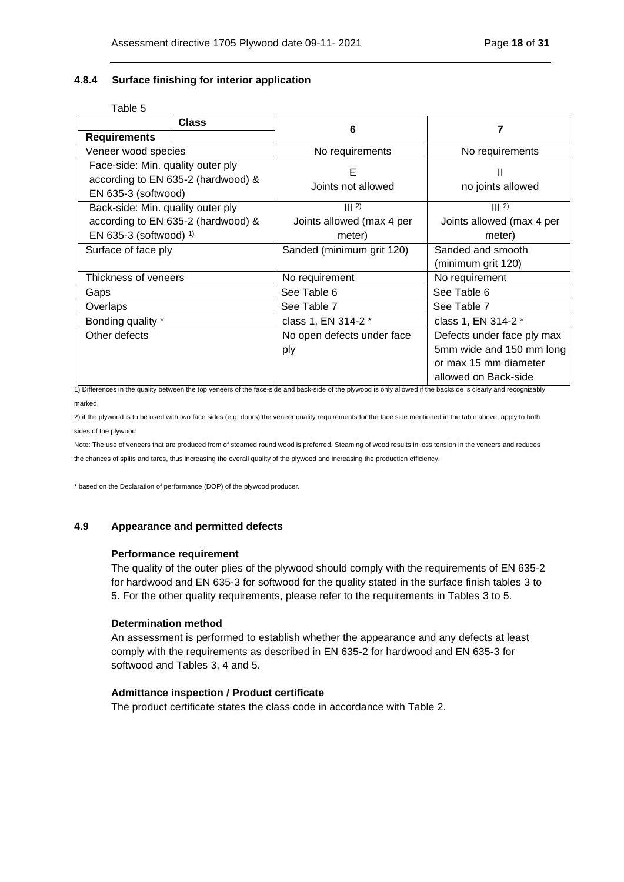#### <span id="page-17-0"></span>**4.8.4 Surface finishing for interior application**

#### Table 5

|                                                                                                | <b>Class</b>                       | 6                                 |                                                                                                         |
|------------------------------------------------------------------------------------------------|------------------------------------|-----------------------------------|---------------------------------------------------------------------------------------------------------|
| <b>Requirements</b>                                                                            |                                    |                                   |                                                                                                         |
| Veneer wood species                                                                            |                                    | No requirements                   | No requirements                                                                                         |
| Face-side: Min. quality outer ply<br>according to EN 635-2 (hardwood) &<br>EN 635-3 (softwood) |                                    | Е<br>Joints not allowed           | Ш<br>no joints allowed                                                                                  |
| Back-side: Min. quality outer ply                                                              |                                    | $\parallel$   2)                  | $\mathbf{III}$ 2)                                                                                       |
|                                                                                                | according to EN 635-2 (hardwood) & | Joints allowed (max 4 per         | Joints allowed (max 4 per                                                                               |
| EN 635-3 (softwood) $1$                                                                        |                                    | meter)                            | meter)                                                                                                  |
| Surface of face ply                                                                            |                                    | Sanded (minimum grit 120)         | Sanded and smooth                                                                                       |
|                                                                                                |                                    |                                   | (minimum grit 120)                                                                                      |
| Thickness of veneers                                                                           |                                    | No requirement<br>No requirement  |                                                                                                         |
| Gaps                                                                                           |                                    | See Table 6                       | See Table 6                                                                                             |
| Overlaps                                                                                       |                                    | See Table 7                       | See Table 7                                                                                             |
| Bonding quality *                                                                              |                                    | class 1, EN 314-2 *               | class 1, EN 314-2 *                                                                                     |
| Other defects                                                                                  |                                    | No open defects under face<br>ply | Defects under face ply max<br>5mm wide and 150 mm long<br>or max 15 mm diameter<br>allowed on Back-side |

1) Differences in the quality between the top veneers of the face-side and back-side of the plywood is only allowed if the backside is clearly and recognizably marked

2) if the plywood is to be used with two face sides (e.g. doors) the veneer quality requirements for the face side mentioned in the table above, apply to both sides of the plywood

Note: The use of veneers that are produced from of steamed round wood is preferred. Steaming of wood results in less tension in the veneers and reduces the chances of splits and tares, thus increasing the overall quality of the plywood and increasing the production efficiency.

\* based on the Declaration of performance (DOP) of the plywood producer.

#### <span id="page-17-1"></span>**4.9 Appearance and permitted defects**

#### **Performance requirement**

The quality of the outer plies of the plywood should comply with the requirements of EN 635-2 for hardwood and EN 635-3 for softwood for the quality stated in the surface finish tables 3 to 5. For the other quality requirements, please refer to the requirements in Tables 3 to 5.

#### **Determination method**

An assessment is performed to establish whether the appearance and any defects at least comply with the requirements as described in EN 635-2 for hardwood and EN 635-3 for softwood and Tables 3, 4 and 5.

#### **Admittance inspection / Product certificate**

The product certificate states the class code in accordance with Table 2.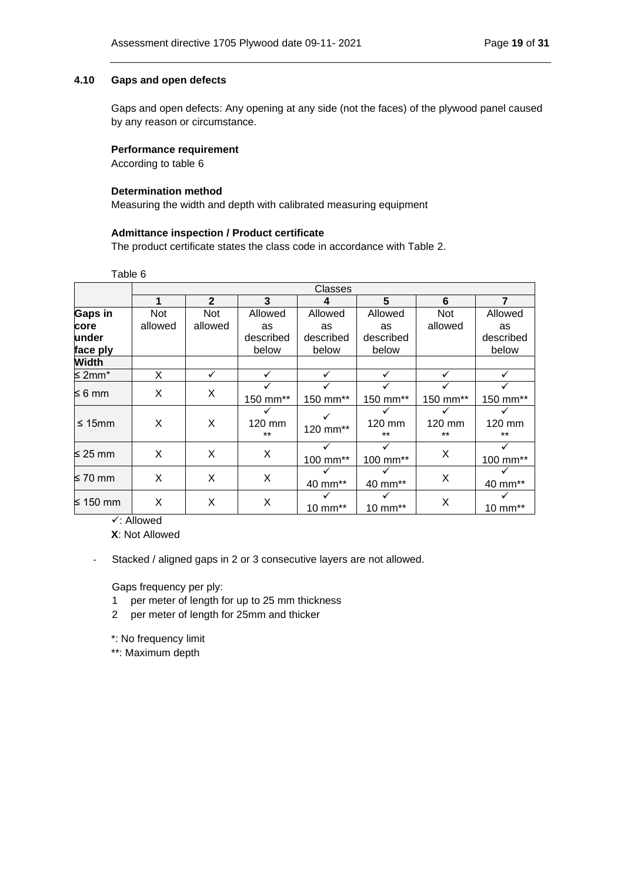### <span id="page-18-0"></span>**4.10 Gaps and open defects**

Gaps and open defects: Any opening at any side (not the faces) of the plywood panel caused by any reason or circumstance.

### **Performance requirement**

According to table 6

## **Determination method**

Measuring the width and depth with calibrated measuring equipment

### **Admittance inspection / Product certificate**

The product certificate states the class code in accordance with Table 2.

Table 6

|                    |            | <b>Classes</b> |                 |           |                 |                 |                 |  |  |
|--------------------|------------|----------------|-----------------|-----------|-----------------|-----------------|-----------------|--|--|
|                    | 1          | $\mathbf{2}$   | 3               | 4         | 5               | 6               | $\overline{7}$  |  |  |
| <b>Gaps in</b>     | <b>Not</b> | <b>Not</b>     | Allowed         | Allowed   | Allowed         | <b>Not</b>      | Allowed         |  |  |
| core               | allowed    | allowed        | as              | as        | as              | allowed         | as              |  |  |
| under              |            |                | described       | described | described       |                 | described       |  |  |
| face ply           |            |                | below           | below     | below           |                 | below           |  |  |
| <b>Width</b>       |            |                |                 |           |                 |                 |                 |  |  |
| ≤ 2mm <sup>*</sup> | X          | ✓              |                 |           | ✓               |                 | ✓               |  |  |
|                    |            |                |                 |           |                 |                 |                 |  |  |
| ≤ 6 mm             | X          | X              | 150 mm**        | 150 mm**  | 150 mm**        | 150 mm**        | 150 mm**        |  |  |
| $\leq$ 15mm        | X          | X              | 120 mm<br>$***$ | 120 mm**  | 120 mm<br>$***$ | 120 mm<br>$***$ | 120 mm<br>$***$ |  |  |
| ≤ 25 mm            | X          | X              | X               | 100 mm**  | 100 mm**        | X               | 100 mm**        |  |  |
| ≤ 70 mm            | X.         | X              | X               | 40 mm**   | 40 mm**         | X               | 40 mm**         |  |  |
| ≤ 150 mm           | X          | X              | X               | 10 mm**   | 10 mm**         | X               | 10 mm**         |  |  |

✓: Allowed

**X**: Not Allowed

- Stacked / aligned gaps in 2 or 3 consecutive layers are not allowed.

Gaps frequency per ply:

- 1 per meter of length for up to 25 mm thickness
- 2 per meter of length for 25mm and thicker

\*: No frequency limit

\*\*: Maximum depth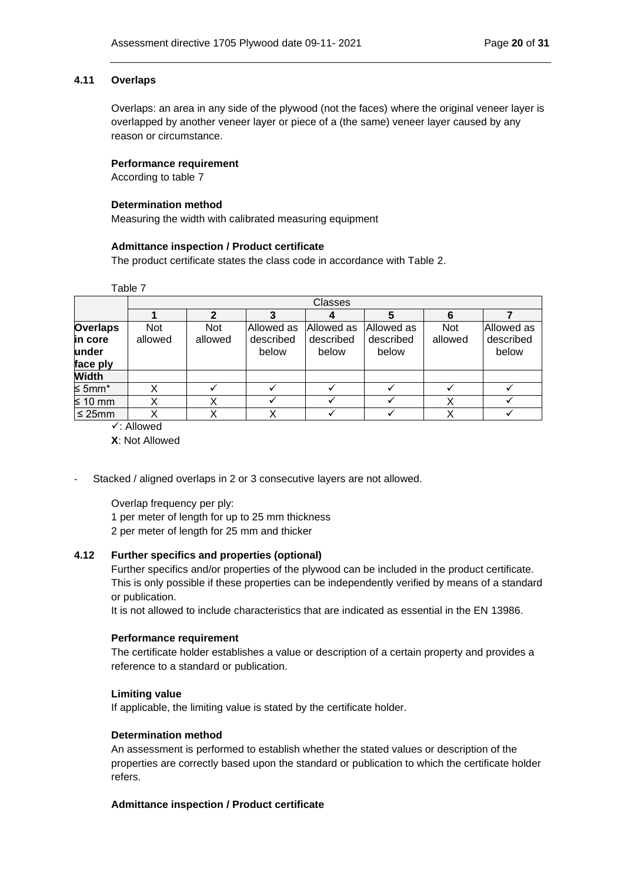### <span id="page-19-0"></span>**4.11 Overlaps**

Overlaps: an area in any side of the plywood (not the faces) where the original veneer layer is overlapped by another veneer layer or piece of a (the same) veneer layer caused by any reason or circumstance.

### **Performance requirement**

According to table 7

### **Determination method**

Measuring the width with calibrated measuring equipment

### **Admittance inspection / Product certificate**

The product certificate states the class code in accordance with Table 2.

Table 7

|                                                 |                       | Classes               |                                  |                                  |                                   |                       |                                  |  |
|-------------------------------------------------|-----------------------|-----------------------|----------------------------------|----------------------------------|-----------------------------------|-----------------------|----------------------------------|--|
|                                                 |                       | 2                     |                                  |                                  |                                   | 6                     |                                  |  |
| <b>Overlaps</b><br>in core<br>under<br>face ply | <b>Not</b><br>allowed | <b>Not</b><br>allowed | Allowed as<br>described<br>below | Allowed as<br>described<br>below | lAllowed as<br>described<br>below | <b>Not</b><br>allowed | Allowed as<br>described<br>below |  |
| <b>Width</b>                                    |                       |                       |                                  |                                  |                                   |                       |                                  |  |
| ≤ 5mm*                                          |                       |                       |                                  |                                  |                                   |                       |                                  |  |
| $\leq 10$ mm                                    |                       |                       |                                  |                                  |                                   |                       |                                  |  |
| $\leq$ 25mm                                     |                       |                       |                                  |                                  |                                   |                       |                                  |  |

✓: Allowed

**X**: Not Allowed

Stacked / aligned overlaps in 2 or 3 consecutive layers are not allowed.

Overlap frequency per ply: 1 per meter of length for up to 25 mm thickness 2 per meter of length for 25 mm and thicker

## <span id="page-19-1"></span>**4.12 Further specifics and properties (optional)**

Further specifics and/or properties of the plywood can be included in the product certificate. This is only possible if these properties can be independently verified by means of a standard or publication.

It is not allowed to include characteristics that are indicated as essential in the EN 13986.

## **Performance requirement**

The certificate holder establishes a value or description of a certain property and provides a reference to a standard or publication.

#### **Limiting value**

If applicable, the limiting value is stated by the certificate holder.

## **Determination method**

An assessment is performed to establish whether the stated values or description of the properties are correctly based upon the standard or publication to which the certificate holder refers.

## **Admittance inspection / Product certificate**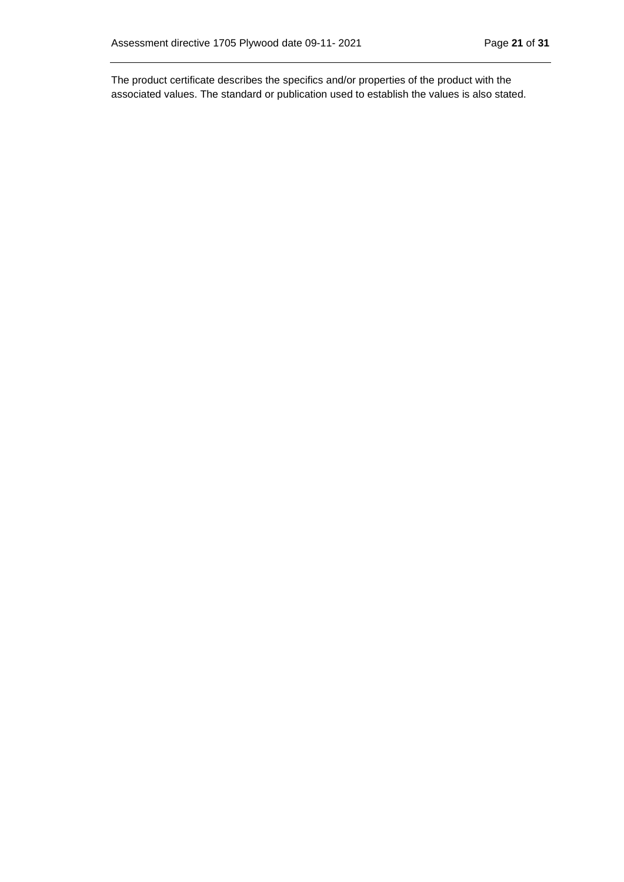The product certificate describes the specifics and/or properties of the product with the associated values. The standard or publication used to establish the values is also stated.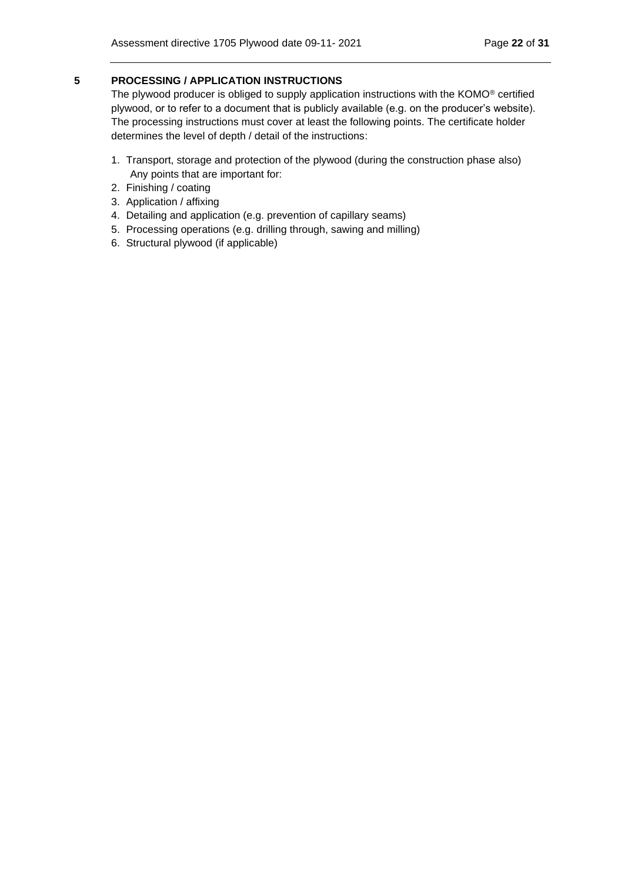## <span id="page-21-0"></span>**5 PROCESSING / APPLICATION INSTRUCTIONS**

The plywood producer is obliged to supply application instructions with the KOMO® certified plywood, or to refer to a document that is publicly available (e.g. on the producer's website). The processing instructions must cover at least the following points. The certificate holder determines the level of depth / detail of the instructions:

- 1. Transport, storage and protection of the plywood (during the construction phase also) Any points that are important for:
- 2. Finishing / coating
- 3. Application / affixing
- 4. Detailing and application (e.g. prevention of capillary seams)
- 5. Processing operations (e.g. drilling through, sawing and milling)
- 6. Structural plywood (if applicable)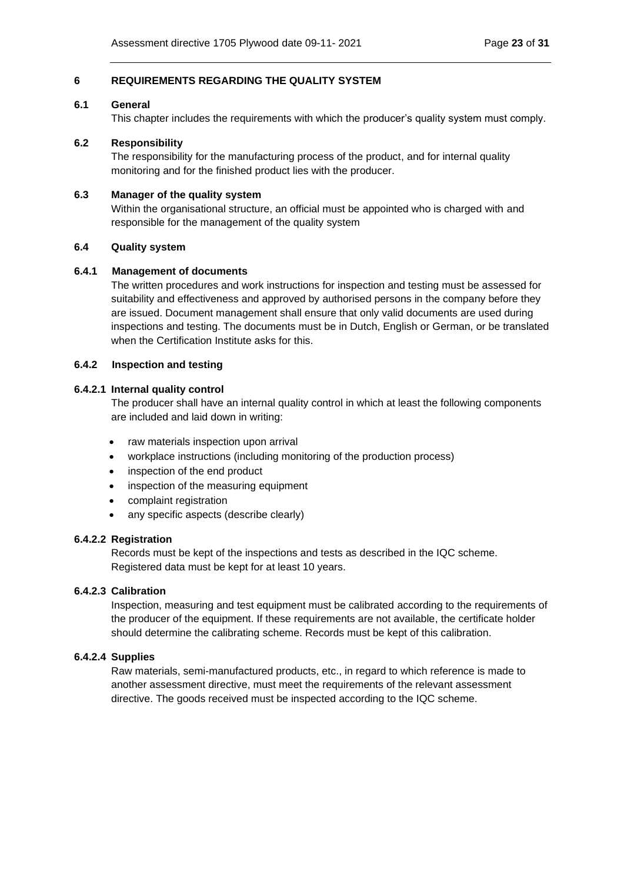# <span id="page-22-0"></span>**6 REQUIREMENTS REGARDING THE QUALITY SYSTEM**

#### <span id="page-22-1"></span>**6.1 General**

This chapter includes the requirements with which the producer's quality system must comply.

## <span id="page-22-2"></span>**6.2 Responsibility**

The responsibility for the manufacturing process of the product, and for internal quality monitoring and for the finished product lies with the producer.

### <span id="page-22-3"></span>**6.3 Manager of the quality system**

Within the organisational structure, an official must be appointed who is charged with and responsible for the management of the quality system

## <span id="page-22-4"></span>**6.4 Quality system**

### <span id="page-22-5"></span>**6.4.1 Management of documents**

The written procedures and work instructions for inspection and testing must be assessed for suitability and effectiveness and approved by authorised persons in the company before they are issued. Document management shall ensure that only valid documents are used during inspections and testing. The documents must be in Dutch, English or German, or be translated when the Certification Institute asks for this.

### <span id="page-22-6"></span>**6.4.2 Inspection and testing**

### **6.4.2.1 Internal quality control**

The producer shall have an internal quality control in which at least the following components are included and laid down in writing:

- raw materials inspection upon arrival
- workplace instructions (including monitoring of the production process)
- inspection of the end product
- inspection of the measuring equipment
- complaint registration
- any specific aspects (describe clearly)

#### **6.4.2.2 Registration**

Records must be kept of the inspections and tests as described in the IQC scheme. Registered data must be kept for at least 10 years.

## **6.4.2.3 Calibration**

Inspection, measuring and test equipment must be calibrated according to the requirements of the producer of the equipment. If these requirements are not available, the certificate holder should determine the calibrating scheme. Records must be kept of this calibration.

## **6.4.2.4 Supplies**

Raw materials, semi-manufactured products, etc., in regard to which reference is made to another assessment directive, must meet the requirements of the relevant assessment directive. The goods received must be inspected according to the IQC scheme.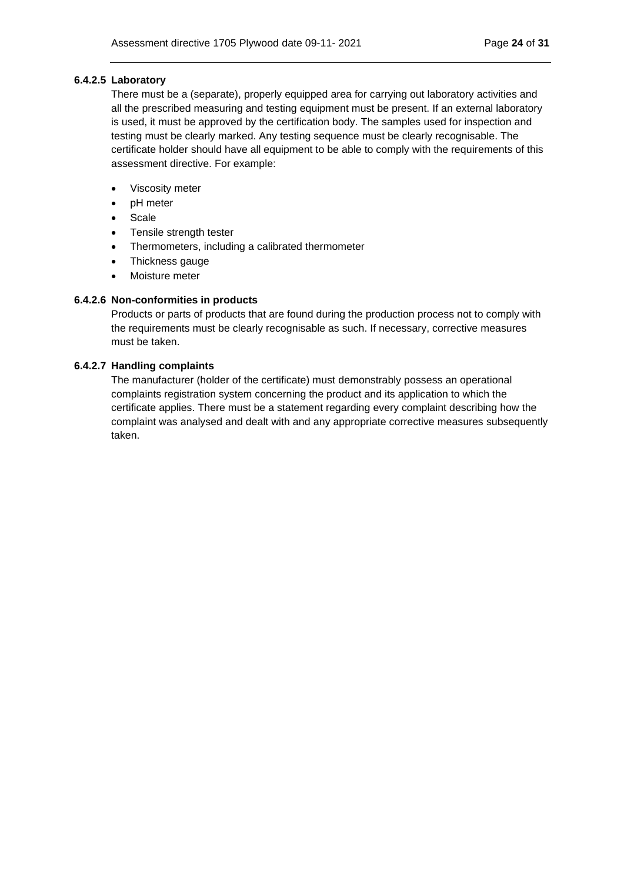### **6.4.2.5 Laboratory**

There must be a (separate), properly equipped area for carrying out laboratory activities and all the prescribed measuring and testing equipment must be present. If an external laboratory is used, it must be approved by the certification body. The samples used for inspection and testing must be clearly marked. Any testing sequence must be clearly recognisable. The certificate holder should have all equipment to be able to comply with the requirements of this assessment directive. For example:

- Viscosity meter
- pH meter
- Scale
- Tensile strength tester
- Thermometers, including a calibrated thermometer
- Thickness gauge
- Moisture meter

## **6.4.2.6 Non-conformities in products**

Products or parts of products that are found during the production process not to comply with the requirements must be clearly recognisable as such. If necessary, corrective measures must be taken.

## **6.4.2.7 Handling complaints**

The manufacturer (holder of the certificate) must demonstrably possess an operational complaints registration system concerning the product and its application to which the certificate applies. There must be a statement regarding every complaint describing how the complaint was analysed and dealt with and any appropriate corrective measures subsequently taken.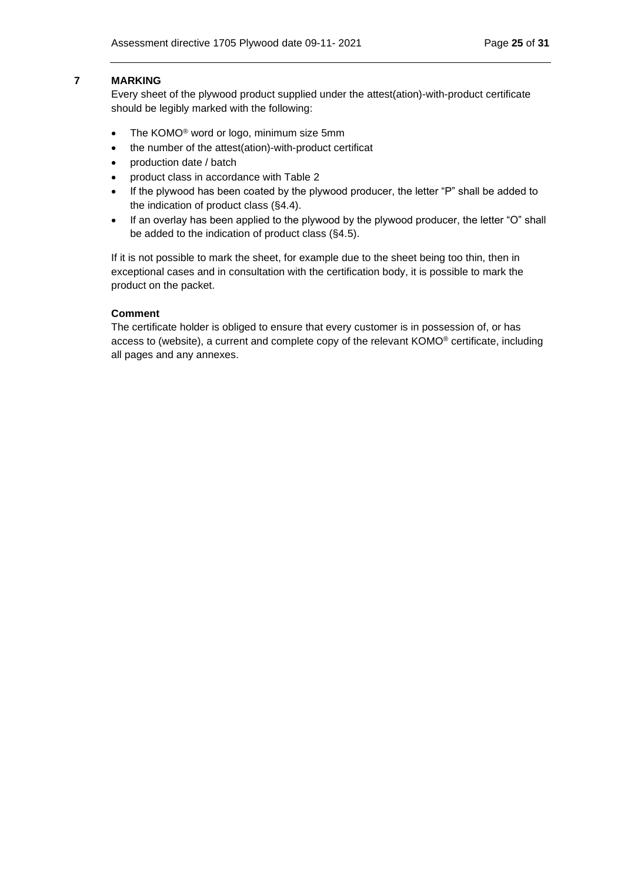#### <span id="page-24-0"></span>**7 MARKING**

Every sheet of the plywood product supplied under the attest(ation)-with-product certificate should be legibly marked with the following:

- The KOMO<sup>®</sup> word or logo, minimum size 5mm
- the number of the attest(ation)-with-product certificat
- production date / batch
- product class in accordance with Table 2
- If the plywood has been coated by the plywood producer, the letter "P" shall be added to the indication of product class (§4.4).
- If an overlay has been applied to the plywood by the plywood producer, the letter "O" shall be added to the indication of product class (§4.5).

If it is not possible to mark the sheet, for example due to the sheet being too thin, then in exceptional cases and in consultation with the certification body, it is possible to mark the product on the packet.

#### **Comment**

The certificate holder is obliged to ensure that every customer is in possession of, or has access to (website), a current and complete copy of the relevant KOMO® certificate, including all pages and any annexes.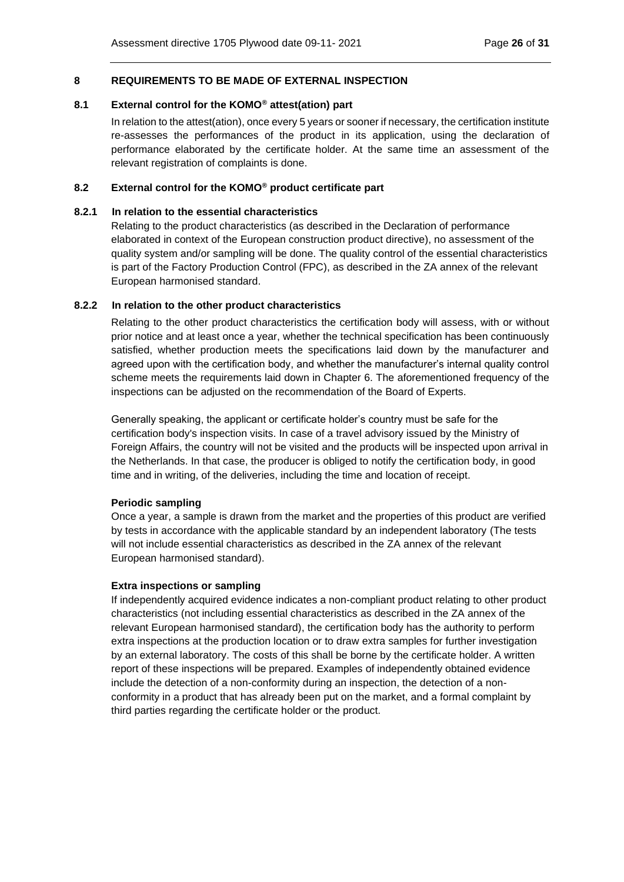### <span id="page-25-0"></span>**8 REQUIREMENTS TO BE MADE OF EXTERNAL INSPECTION**

#### <span id="page-25-1"></span>**8.1 External control for the KOMO® attest(ation) part**

In relation to the attest(ation), once every 5 years or sooner if necessary, the certification institute re-assesses the performances of the product in its application, using the declaration of performance elaborated by the certificate holder. At the same time an assessment of the relevant registration of complaints is done.

#### <span id="page-25-2"></span>**8.2 External control for the KOMO® product certificate part**

### <span id="page-25-3"></span>**8.2.1 In relation to the essential characteristics**

Relating to the product characteristics (as described in the Declaration of performance elaborated in context of the European construction product directive), no assessment of the quality system and/or sampling will be done. The quality control of the essential characteristics is part of the Factory Production Control (FPC), as described in the ZA annex of the relevant European harmonised standard.

### <span id="page-25-4"></span>**8.2.2 In relation to the other product characteristics**

Relating to the other product characteristics the certification body will assess, with or without prior notice and at least once a year, whether the technical specification has been continuously satisfied, whether production meets the specifications laid down by the manufacturer and agreed upon with the certification body, and whether the manufacturer's internal quality control scheme meets the requirements laid down in Chapter 6. The aforementioned frequency of the inspections can be adjusted on the recommendation of the Board of Experts.

Generally speaking, the applicant or certificate holder's country must be safe for the certification body's inspection visits. In case of a travel advisory issued by the Ministry of Foreign Affairs, the country will not be visited and the products will be inspected upon arrival in the Netherlands. In that case, the producer is obliged to notify the certification body, in good time and in writing, of the deliveries, including the time and location of receipt.

#### **Periodic sampling**

Once a year, a sample is drawn from the market and the properties of this product are verified by tests in accordance with the applicable standard by an independent laboratory (The tests will not include essential characteristics as described in the ZA annex of the relevant European harmonised standard).

#### **Extra inspections or sampling**

If independently acquired evidence indicates a non-compliant product relating to other product characteristics (not including essential characteristics as described in the ZA annex of the relevant European harmonised standard), the certification body has the authority to perform extra inspections at the production location or to draw extra samples for further investigation by an external laboratory. The costs of this shall be borne by the certificate holder. A written report of these inspections will be prepared. Examples of independently obtained evidence include the detection of a non-conformity during an inspection, the detection of a nonconformity in a product that has already been put on the market, and a formal complaint by third parties regarding the certificate holder or the product.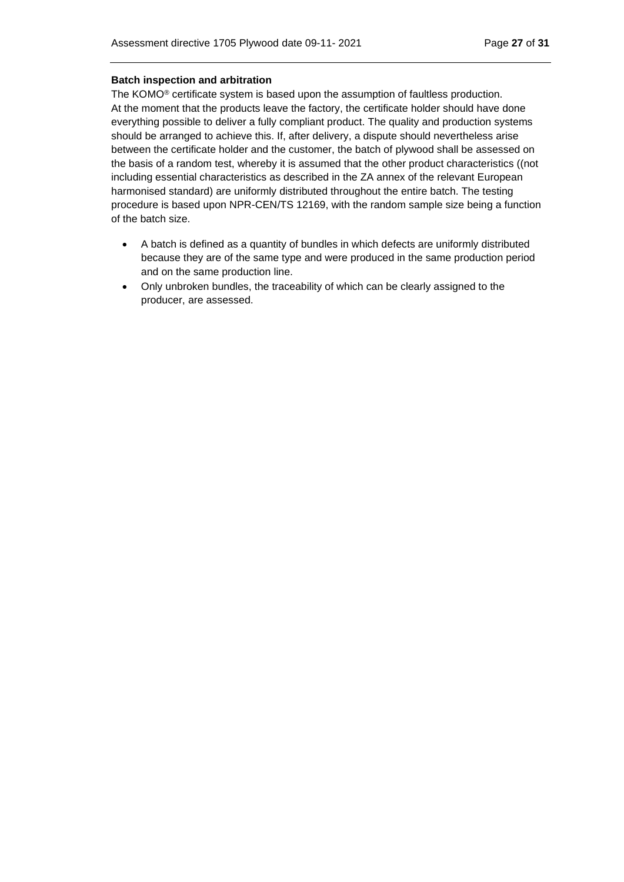#### **Batch inspection and arbitration**

The KOMO® certificate system is based upon the assumption of faultless production. At the moment that the products leave the factory, the certificate holder should have done everything possible to deliver a fully compliant product. The quality and production systems should be arranged to achieve this. If, after delivery, a dispute should nevertheless arise between the certificate holder and the customer, the batch of plywood shall be assessed on the basis of a random test, whereby it is assumed that the other product characteristics ((not including essential characteristics as described in the ZA annex of the relevant European harmonised standard) are uniformly distributed throughout the entire batch. The testing procedure is based upon NPR-CEN/TS 12169, with the random sample size being a function of the batch size.

- A batch is defined as a quantity of bundles in which defects are uniformly distributed because they are of the same type and were produced in the same production period and on the same production line.
- Only unbroken bundles, the traceability of which can be clearly assigned to the producer, are assessed.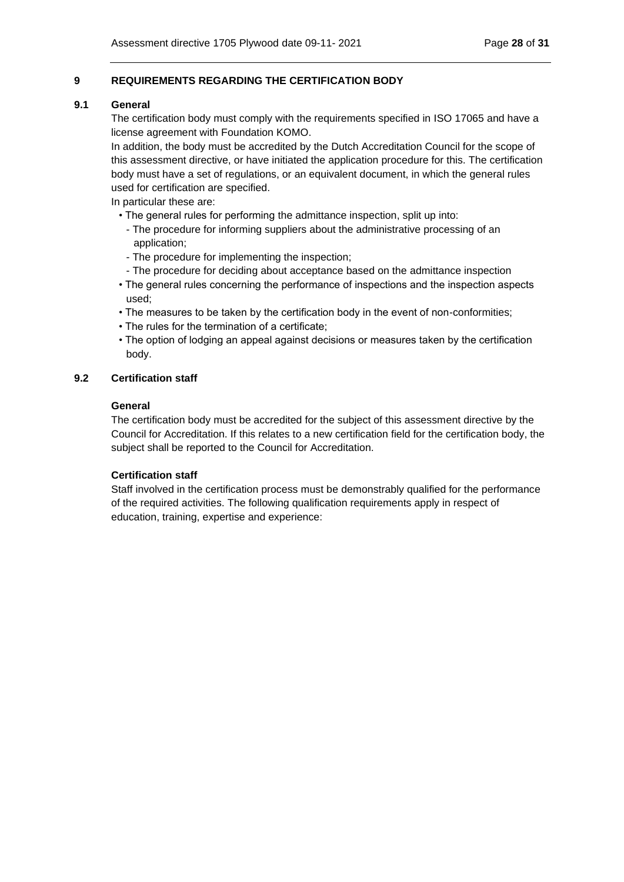## <span id="page-27-0"></span>**9 REQUIREMENTS REGARDING THE CERTIFICATION BODY**

### <span id="page-27-1"></span>**9.1 General**

The certification body must comply with the requirements specified in ISO 17065 and have a license agreement with Foundation KOMO.

In addition, the body must be accredited by the Dutch Accreditation Council for the scope of this assessment directive, or have initiated the application procedure for this. The certification body must have a set of regulations, or an equivalent document, in which the general rules used for certification are specified.

In particular these are:

- The general rules for performing the admittance inspection, split up into:
	- The procedure for informing suppliers about the administrative processing of an application;
	- The procedure for implementing the inspection;
	- The procedure for deciding about acceptance based on the admittance inspection
- The general rules concerning the performance of inspections and the inspection aspects used;
- The measures to be taken by the certification body in the event of non-conformities;
- The rules for the termination of a certificate;
- The option of lodging an appeal against decisions or measures taken by the certification body.

## <span id="page-27-2"></span>**9.2 Certification staff**

## **General**

The certification body must be accredited for the subject of this assessment directive by the Council for Accreditation. If this relates to a new certification field for the certification body, the subject shall be reported to the Council for Accreditation.

## **Certification staff**

Staff involved in the certification process must be demonstrably qualified for the performance of the required activities. The following qualification requirements apply in respect of education, training, expertise and experience: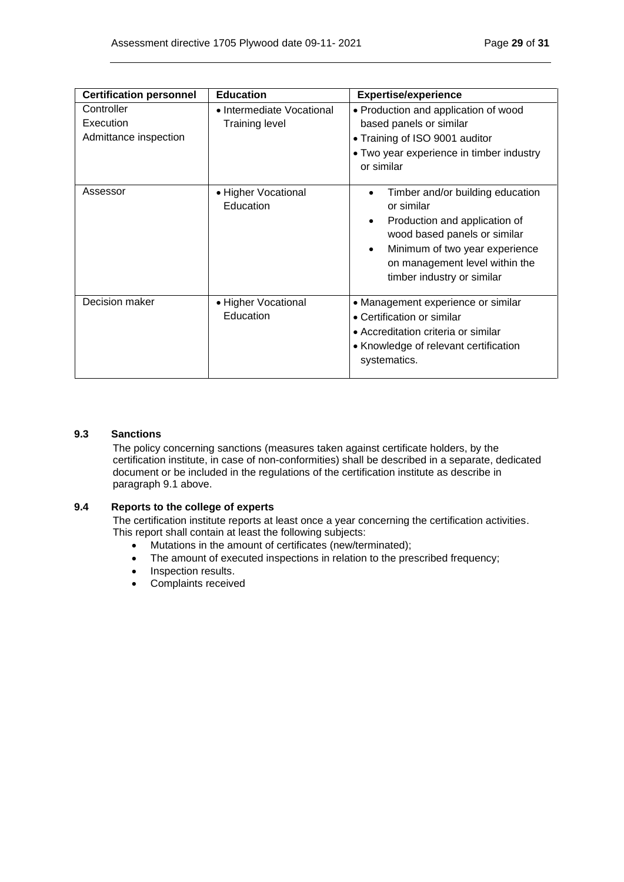| <b>Certification personnel</b>                   | <b>Education</b>                                   | <b>Expertise/experience</b>                                                                                                                                                                                                                 |
|--------------------------------------------------|----------------------------------------------------|---------------------------------------------------------------------------------------------------------------------------------------------------------------------------------------------------------------------------------------------|
| Controller<br>Execution<br>Admittance inspection | • Intermediate Vocational<br><b>Training level</b> | • Production and application of wood<br>based panels or similar<br>• Training of ISO 9001 auditor<br>• Two year experience in timber industry<br>or similar                                                                                 |
| Assessor                                         | • Higher Vocational<br>Education                   | Timber and/or building education<br>or similar<br>Production and application of<br>$\bullet$<br>wood based panels or similar<br>Minimum of two year experience<br>$\bullet$<br>on management level within the<br>timber industry or similar |
| Decision maker                                   | • Higher Vocational<br>Education                   | • Management experience or similar<br>• Certification or similar<br>• Accreditation criteria or similar<br>• Knowledge of relevant certification<br>systematics.                                                                            |

## <span id="page-28-0"></span>**9.3 Sanctions**

The policy concerning sanctions (measures taken against certificate holders, by the certification institute, in case of non-conformities) shall be described in a separate, dedicated document or be included in the regulations of the certification institute as describe in paragraph 9.1 above.

### <span id="page-28-1"></span>**9.4 Reports to the college of experts**

The certification institute reports at least once a year concerning the certification activities. This report shall contain at least the following subjects:

- Mutations in the amount of certificates (new/terminated);
- The amount of executed inspections in relation to the prescribed frequency;
- Inspection results.
- Complaints received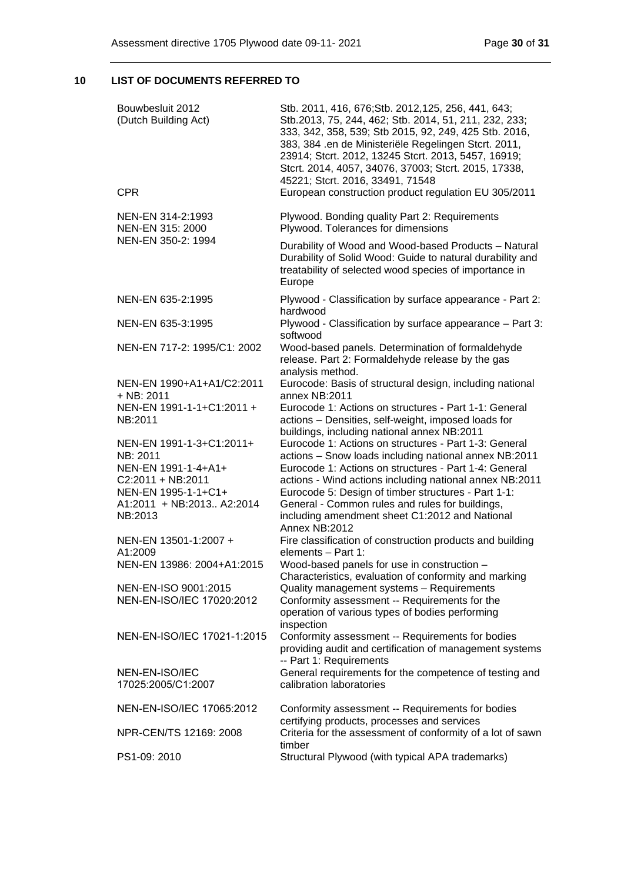# <span id="page-29-0"></span>**10 LIST OF DOCUMENTS REFERRED TO**

| Bouwbesluit 2012<br>(Dutch Building Act)                                                                                                          | Stb. 2011, 416, 676; Stb. 2012, 125, 256, 441, 643;<br>Stb.2013, 75, 244, 462; Stb. 2014, 51, 211, 232, 233;<br>333, 342, 358, 539; Stb 2015, 92, 249, 425 Stb. 2016,<br>383, 384 .en de Ministeriële Regelingen Stcrt. 2011,<br>23914; Stcrt. 2012, 13245 Stcrt. 2013, 5457, 16919;<br>Stcrt. 2014, 4057, 34076, 37003; Stcrt. 2015, 17338,<br>45221; Stcrt. 2016, 33491, 71548                                |
|---------------------------------------------------------------------------------------------------------------------------------------------------|-----------------------------------------------------------------------------------------------------------------------------------------------------------------------------------------------------------------------------------------------------------------------------------------------------------------------------------------------------------------------------------------------------------------|
| <b>CPR</b>                                                                                                                                        | European construction product regulation EU 305/2011                                                                                                                                                                                                                                                                                                                                                            |
| NEN-EN 314-2:1993<br>NEN-EN 315: 2000                                                                                                             | Plywood. Bonding quality Part 2: Requirements<br>Plywood. Tolerances for dimensions                                                                                                                                                                                                                                                                                                                             |
| NEN-EN 350-2: 1994                                                                                                                                | Durability of Wood and Wood-based Products - Natural<br>Durability of Solid Wood: Guide to natural durability and<br>treatability of selected wood species of importance in<br>Europe                                                                                                                                                                                                                           |
| NEN-EN 635-2:1995                                                                                                                                 | Plywood - Classification by surface appearance - Part 2:<br>hardwood                                                                                                                                                                                                                                                                                                                                            |
| NEN-EN 635-3:1995                                                                                                                                 | Plywood - Classification by surface appearance - Part 3:<br>softwood                                                                                                                                                                                                                                                                                                                                            |
| NEN-EN 717-2: 1995/C1: 2002                                                                                                                       | Wood-based panels. Determination of formaldehyde<br>release. Part 2: Formaldehyde release by the gas<br>analysis method.                                                                                                                                                                                                                                                                                        |
| NEN-EN 1990+A1+A1/C2:2011<br>$+$ NB: 2011                                                                                                         | Eurocode: Basis of structural design, including national<br>annex NB:2011                                                                                                                                                                                                                                                                                                                                       |
| NEN-EN 1991-1-1+C1:2011 +<br>NB:2011                                                                                                              | Eurocode 1: Actions on structures - Part 1-1: General<br>actions - Densities, self-weight, imposed loads for<br>buildings, including national annex NB:2011                                                                                                                                                                                                                                                     |
| NEN-EN 1991-1-3+C1:2011+<br>NB: 2011<br>NEN-EN 1991-1-4+A1+<br>$C2:2011 + NB:2011$<br>NEN-EN 1995-1-1+C1+<br>A1:2011 + NB:2013 A2:2014<br>NB:2013 | Eurocode 1: Actions on structures - Part 1-3: General<br>actions - Snow loads including national annex NB:2011<br>Eurocode 1: Actions on structures - Part 1-4: General<br>actions - Wind actions including national annex NB:2011<br>Eurocode 5: Design of timber structures - Part 1-1:<br>General - Common rules and rules for buildings,<br>including amendment sheet C1:2012 and National<br>Annex NB:2012 |
| NEN-EN 13501-1:2007 +<br>A1:2009                                                                                                                  | Fire classification of construction products and building<br>elements - Part 1:                                                                                                                                                                                                                                                                                                                                 |
| NEN-EN 13986: 2004+A1:2015                                                                                                                        | Wood-based panels for use in construction -<br>Characteristics, evaluation of conformity and marking                                                                                                                                                                                                                                                                                                            |
| NEN-EN-ISO 9001:2015<br>NEN-EN-ISO/IEC 17020:2012                                                                                                 | Quality management systems - Requirements<br>Conformity assessment -- Requirements for the<br>operation of various types of bodies performing<br>inspection                                                                                                                                                                                                                                                     |
| NEN-EN-ISO/IEC 17021-1:2015                                                                                                                       | Conformity assessment -- Requirements for bodies<br>providing audit and certification of management systems<br>-- Part 1: Requirements                                                                                                                                                                                                                                                                          |
| NEN-EN-ISO/IEC<br>17025:2005/C1:2007                                                                                                              | General requirements for the competence of testing and<br>calibration laboratories                                                                                                                                                                                                                                                                                                                              |
| NEN-EN-ISO/IEC 17065:2012                                                                                                                         | Conformity assessment -- Requirements for bodies<br>certifying products, processes and services                                                                                                                                                                                                                                                                                                                 |
| NPR-CEN/TS 12169: 2008                                                                                                                            | Criteria for the assessment of conformity of a lot of sawn<br>timber                                                                                                                                                                                                                                                                                                                                            |
| PS1-09: 2010                                                                                                                                      | Structural Plywood (with typical APA trademarks)                                                                                                                                                                                                                                                                                                                                                                |